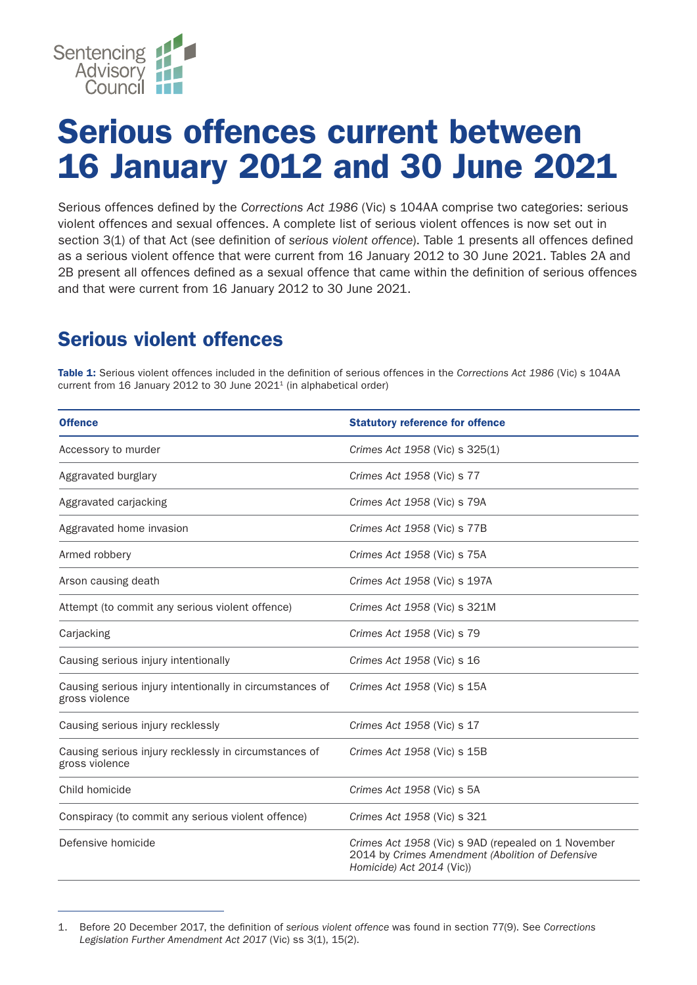

## Serious offences current between 16 January 2012 and 30 June 2021

Serious offences defined by the *Corrections Act 1986* (Vic) s 104AA comprise two categories: serious violent offences and sexual offences. A complete list of serious violent offences is now set out in section 3(1) of that Act (see definition of *serious violent offence*). Table 1 presents all offences defined as a serious violent offence that were current from 16 January 2012 to 30 June 2021. Tables 2A and 2B present all offences defined as a sexual offence that came within the definition of serious offences and that were current from 16 January 2012 to 30 June 2021.

## Serious violent offences

Table 1: Serious violent offences included in the definition of serious offences in the *Corrections Act 1986* (Vic) s 104AA current from 16 January 2012 to 30 June 2021<sup>1</sup> (in alphabetical order)

| <b>Offence</b>                                                             | <b>Statutory reference for offence</b>                                                                                               |
|----------------------------------------------------------------------------|--------------------------------------------------------------------------------------------------------------------------------------|
| Accessory to murder                                                        | Crimes Act 1958 (Vic) s 325(1)                                                                                                       |
| Aggravated burglary                                                        | Crimes Act 1958 (Vic) s 77                                                                                                           |
| Aggravated carjacking                                                      | Crimes Act 1958 (Vic) s 79A                                                                                                          |
| Aggravated home invasion                                                   | Crimes Act 1958 (Vic) s 77B                                                                                                          |
| Armed robbery                                                              | Crimes Act 1958 (Vic) s 75A                                                                                                          |
| Arson causing death                                                        | Crimes Act 1958 (Vic) s 197A                                                                                                         |
| Attempt (to commit any serious violent offence)                            | Crimes Act 1958 (Vic) s 321M                                                                                                         |
| Carjacking                                                                 | Crimes Act 1958 (Vic) s 79                                                                                                           |
| Causing serious injury intentionally                                       | Crimes Act 1958 (Vic) s 16                                                                                                           |
| Causing serious injury intentionally in circumstances of<br>gross violence | Crimes Act 1958 (Vic) s 15A                                                                                                          |
| Causing serious injury recklessly                                          | Crimes Act 1958 (Vic) s 17                                                                                                           |
| Causing serious injury recklessly in circumstances of<br>gross violence    | Crimes Act 1958 (Vic) s 15B                                                                                                          |
| Child homicide                                                             | Crimes Act 1958 (Vic) s 5A                                                                                                           |
| Conspiracy (to commit any serious violent offence)                         | Crimes Act 1958 (Vic) s 321                                                                                                          |
| Defensive homicide                                                         | Crimes Act 1958 (Vic) s 9AD (repealed on 1 November<br>2014 by Crimes Amendment (Abolition of Defensive<br>Homicide) Act 2014 (Vic)) |

<sup>1.</sup> Before 20 December 2017, the definition of *serious violent offence* was found in section 77(9). See *Corrections Legislation Further Amendment Act 2017* (Vic) ss 3(1), 15(2).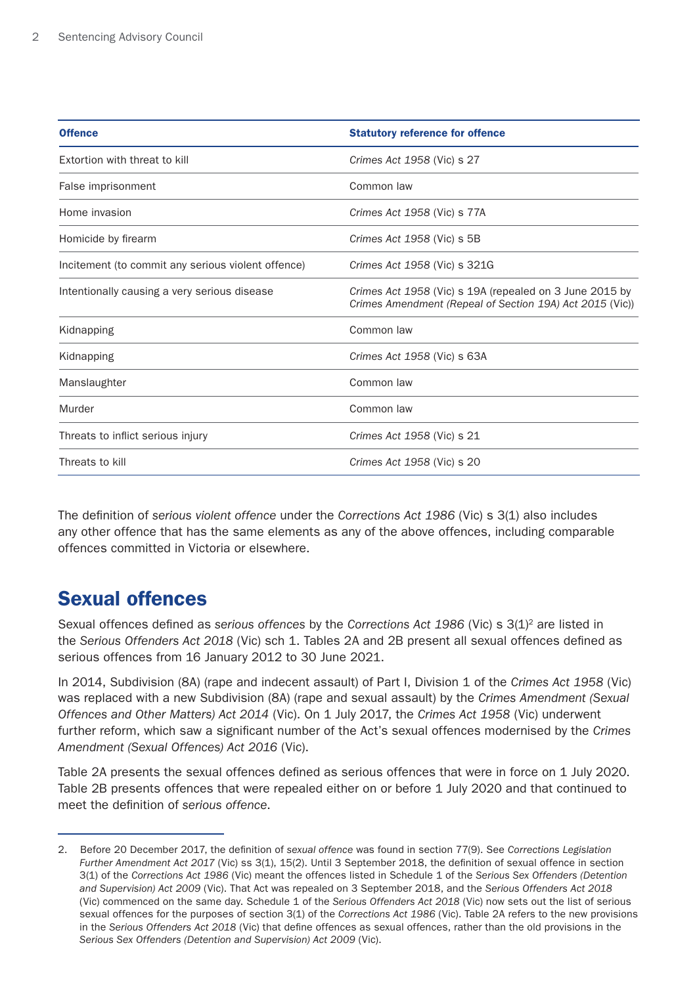| <b>Offence</b>                                     | <b>Statutory reference for offence</b>                                                                              |
|----------------------------------------------------|---------------------------------------------------------------------------------------------------------------------|
| Extortion with threat to kill                      | Crimes Act 1958 (Vic) s 27                                                                                          |
| False imprisonment                                 | Common law                                                                                                          |
| Home invasion                                      | Crimes Act 1958 (Vic) s 77A                                                                                         |
| Homicide by firearm                                | Crimes Act 1958 (Vic) s 5B                                                                                          |
| Incitement (to commit any serious violent offence) | Crimes Act 1958 (Vic) s 321G                                                                                        |
| Intentionally causing a very serious disease       | Crimes Act 1958 (Vic) s 19A (repealed on 3 June 2015 by<br>Crimes Amendment (Repeal of Section 19A) Act 2015 (Vic)) |
| Kidnapping                                         | Common law                                                                                                          |
| Kidnapping                                         | Crimes Act 1958 (Vic) s 63A                                                                                         |
| Manslaughter                                       | Common law                                                                                                          |
| Murder                                             | Common law                                                                                                          |
| Threats to inflict serious injury                  | Crimes Act 1958 (Vic) s 21                                                                                          |
| Threats to kill                                    | Crimes Act 1958 (Vic) s 20                                                                                          |

The definition of *serious violent offence* under the *Corrections Act 1986* (Vic) s 3(1) also includes any other offence that has the same elements as any of the above offences, including comparable offences committed in Victoria or elsewhere.

## Sexual offences

Sexual offences defined as *serious offences* by the *Corrections Act 1986* (Vic) s 3(1)2 are listed in the *Serious Offenders Act 2018* (Vic) sch 1. Tables 2A and 2B present all sexual offences defined as serious offences from 16 January 2012 to 30 June 2021.

In 2014, Subdivision (8A) (rape and indecent assault) of Part I, Division 1 of the *Crimes Act 1958* (Vic) was replaced with a new Subdivision (8A) (rape and sexual assault) by the *Crimes Amendment (Sexual Offences and Other Matters) Act 2014* (Vic). On 1 July 2017, the *Crimes Act 1958* (Vic) underwent further reform, which saw a significant number of the Act's sexual offences modernised by the *Crimes Amendment (Sexual Offences) Act 2016* (Vic).

Table 2A presents the sexual offences defined as serious offences that were in force on 1 July 2020. Table 2B presents offences that were repealed either on or before 1 July 2020 and that continued to meet the definition of *serious offence*.

<sup>2.</sup> Before 20 December 2017, the definition of *sexual offence* was found in section 77(9). See *Corrections Legislation Further Amendment Act 2017* (Vic) ss 3(1), 15(2). Until 3 September 2018, the definition of sexual offence in section 3(1) of the *Corrections Act 1986* (Vic) meant the offences listed in Schedule 1 of the *Serious Sex Offenders (Detention and Supervision) Act 2009* (Vic). That Act was repealed on 3 September 2018, and the *Serious Offenders Act 2018* (Vic) commenced on the same day. Schedule 1 of the *Serious Offenders Act 2018* (Vic) now sets out the list of serious sexual offences for the purposes of section 3(1) of the *Corrections Act 1986* (Vic). Table 2A refers to the new provisions in the *Serious Offenders Act 2018* (Vic) that define offences as sexual offences, rather than the old provisions in the *Serious Sex Offenders (Detention and Supervision) Act 2009* (Vic).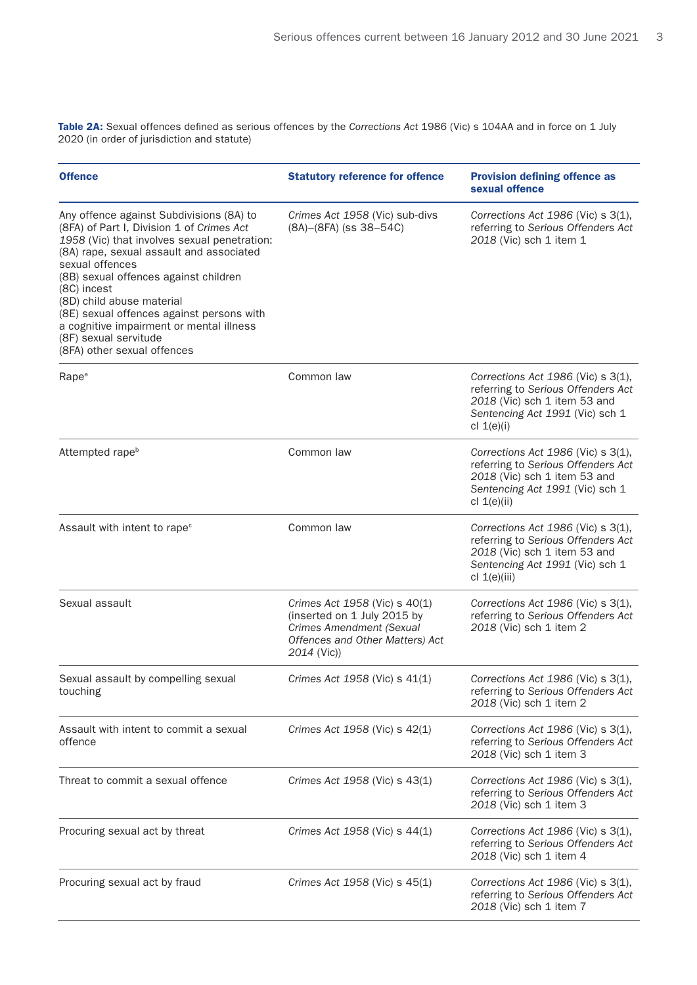Table 2A: Sexual offences defined as serious offences by the *Corrections Act* 1986 (Vic) s 104AA and in force on 1 July 2020 (in order of jurisdiction and statute)

| <b>Offence</b>                                                                                                                                                                                                                                                                                                                                                                                                                             | <b>Statutory reference for offence</b>                                                                                                     | <b>Provision defining offence as</b><br>sexual offence                                                                                                        |
|--------------------------------------------------------------------------------------------------------------------------------------------------------------------------------------------------------------------------------------------------------------------------------------------------------------------------------------------------------------------------------------------------------------------------------------------|--------------------------------------------------------------------------------------------------------------------------------------------|---------------------------------------------------------------------------------------------------------------------------------------------------------------|
| Any offence against Subdivisions (8A) to<br>(8FA) of Part I, Division 1 of Crimes Act<br>1958 (Vic) that involves sexual penetration:<br>(8A) rape, sexual assault and associated<br>sexual offences<br>(8B) sexual offences against children<br>(8C) incest<br>(8D) child abuse material<br>(8E) sexual offences against persons with<br>a cognitive impairment or mental illness<br>(8F) sexual servitude<br>(8FA) other sexual offences | Crimes Act 1958 (Vic) sub-divs<br>(8A)-(8FA) (ss 38-54C)                                                                                   | Corrections Act 1986 (Vic) s 3(1),<br>referring to Serious Offenders Act<br>2018 (Vic) sch 1 item 1                                                           |
| Rape <sup>a</sup>                                                                                                                                                                                                                                                                                                                                                                                                                          | Common law                                                                                                                                 | Corrections Act 1986 (Vic) s 3(1),<br>referring to Serious Offenders Act<br>2018 (Vic) sch 1 item 53 and<br>Sentencing Act 1991 (Vic) sch 1<br>cl $1(e)(i)$   |
| Attempted rape <sup>b</sup>                                                                                                                                                                                                                                                                                                                                                                                                                | Common law                                                                                                                                 | Corrections Act 1986 (Vic) s 3(1),<br>referring to Serious Offenders Act<br>2018 (Vic) sch 1 item 53 and<br>Sentencing Act 1991 (Vic) sch 1<br>cl $1(e)(ii)$  |
| Assault with intent to rape <sup>c</sup>                                                                                                                                                                                                                                                                                                                                                                                                   | Common law                                                                                                                                 | Corrections Act 1986 (Vic) s 3(1),<br>referring to Serious Offenders Act<br>2018 (Vic) sch 1 item 53 and<br>Sentencing Act 1991 (Vic) sch 1<br>cl $1(e)(iii)$ |
| Sexual assault                                                                                                                                                                                                                                                                                                                                                                                                                             | Crimes Act 1958 (Vic) s 40(1)<br>(inserted on 1 July 2015 by<br>Crimes Amendment (Sexual<br>Offences and Other Matters) Act<br>2014 (Vic)) | Corrections Act 1986 (Vic) s 3(1),<br>referring to Serious Offenders Act<br>2018 (Vic) sch 1 item 2                                                           |
| Sexual assault by compelling sexual<br>touching                                                                                                                                                                                                                                                                                                                                                                                            | Crimes Act 1958 (Vic) s 41(1)                                                                                                              | Corrections Act 1986 (Vic) s 3(1),<br>referring to Serious Offenders Act<br>2018 (Vic) sch 1 item 2                                                           |
| Assault with intent to commit a sexual<br>offence                                                                                                                                                                                                                                                                                                                                                                                          | Crimes Act 1958 (Vic) s 42(1)                                                                                                              | Corrections Act 1986 (Vic) s 3(1),<br>referring to Serious Offenders Act<br>2018 (Vic) sch 1 item 3                                                           |
| Threat to commit a sexual offence                                                                                                                                                                                                                                                                                                                                                                                                          | Crimes Act 1958 (Vic) s 43(1)                                                                                                              | Corrections Act 1986 (Vic) s 3(1),<br>referring to Serious Offenders Act<br>2018 (Vic) sch 1 item 3                                                           |
| Procuring sexual act by threat                                                                                                                                                                                                                                                                                                                                                                                                             | Crimes Act 1958 (Vic) s 44(1)                                                                                                              | Corrections Act 1986 (Vic) s 3(1),<br>referring to Serious Offenders Act<br>2018 (Vic) sch 1 item 4                                                           |
| Procuring sexual act by fraud                                                                                                                                                                                                                                                                                                                                                                                                              | Crimes Act 1958 (Vic) s 45(1)                                                                                                              | Corrections Act 1986 (Vic) s 3(1),<br>referring to Serious Offenders Act<br>2018 (Vic) sch 1 item 7                                                           |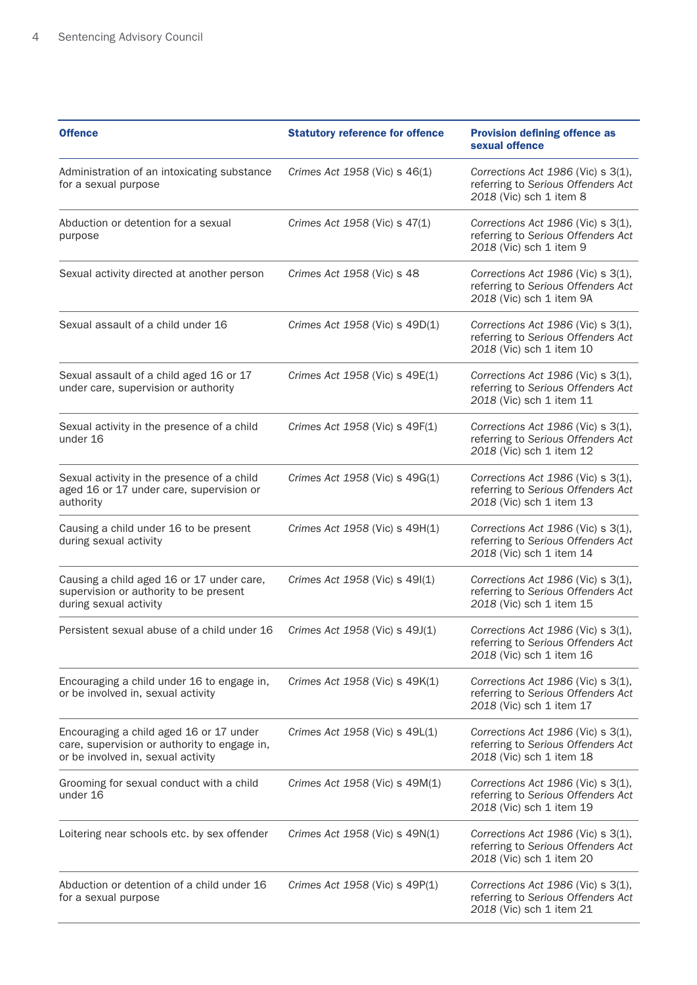| <b>Offence</b>                                                                                                                | <b>Statutory reference for offence</b> | <b>Provision defining offence as</b><br>sexual offence                                                    |
|-------------------------------------------------------------------------------------------------------------------------------|----------------------------------------|-----------------------------------------------------------------------------------------------------------|
| Administration of an intoxicating substance<br>for a sexual purpose                                                           | Crimes Act 1958 (Vic) s 46(1)          | Corrections Act $1986$ (Vic) s $3(1)$ ,<br>referring to Serious Offenders Act<br>2018 (Vic) sch 1 item 8  |
| Abduction or detention for a sexual<br>purpose                                                                                | Crimes Act 1958 (Vic) s 47(1)          | Corrections Act $1986$ (Vic) s $3(1)$ ,<br>referring to Serious Offenders Act<br>2018 (Vic) sch 1 item 9  |
| Sexual activity directed at another person                                                                                    | Crimes Act 1958 (Vic) s 48             | Corrections Act 1986 (Vic) s 3(1),<br>referring to Serious Offenders Act<br>2018 (Vic) sch 1 item 9A      |
| Sexual assault of a child under 16                                                                                            | Crimes Act 1958 (Vic) s 49D(1)         | Corrections Act $1986$ (Vic) s $3(1)$ ,<br>referring to Serious Offenders Act<br>2018 (Vic) sch 1 item 10 |
| Sexual assault of a child aged 16 or 17<br>under care, supervision or authority                                               | Crimes Act 1958 (Vic) s 49E(1)         | Corrections Act $1986$ (Vic) s $3(1)$ ,<br>referring to Serious Offenders Act<br>2018 (Vic) sch 1 item 11 |
| Sexual activity in the presence of a child<br>under 16                                                                        | Crimes Act 1958 (Vic) s 49F(1)         | Corrections Act 1986 (Vic) s 3(1),<br>referring to Serious Offenders Act<br>2018 (Vic) sch 1 item 12      |
| Sexual activity in the presence of a child<br>aged 16 or 17 under care, supervision or<br>authority                           | Crimes Act 1958 (Vic) s 49G(1)         | Corrections Act 1986 (Vic) s 3(1),<br>referring to Serious Offenders Act<br>2018 (Vic) sch 1 item 13      |
| Causing a child under 16 to be present<br>during sexual activity                                                              | Crimes Act 1958 (Vic) s 49H(1)         | Corrections Act 1986 (Vic) s 3(1),<br>referring to Serious Offenders Act<br>2018 (Vic) sch 1 item 14      |
| Causing a child aged 16 or 17 under care,<br>supervision or authority to be present<br>during sexual activity                 | Crimes Act 1958 (Vic) s 49(1)          | Corrections Act 1986 (Vic) s 3(1),<br>referring to Serious Offenders Act<br>2018 (Vic) sch 1 item 15      |
| Persistent sexual abuse of a child under 16                                                                                   | Crimes Act 1958 (Vic) s 49J(1)         | Corrections Act 1986 (Vic) s 3(1),<br>referring to Serious Offenders Act<br>2018 (Vic) sch 1 item 16      |
| Encouraging a child under 16 to engage in,<br>or be involved in, sexual activity                                              | Crimes Act 1958 (Vic) s 49K(1)         | Corrections Act $1986$ (Vic) s $3(1)$ ,<br>referring to Serious Offenders Act<br>2018 (Vic) sch 1 item 17 |
| Encouraging a child aged 16 or 17 under<br>care, supervision or authority to engage in,<br>or be involved in, sexual activity | Crimes Act 1958 (Vic) s 49L(1)         | Corrections Act 1986 (Vic) s 3(1),<br>referring to Serious Offenders Act<br>2018 (Vic) sch 1 item 18      |
| Grooming for sexual conduct with a child<br>under 16                                                                          | Crimes Act 1958 (Vic) s 49M(1)         | Corrections Act 1986 (Vic) s 3(1),<br>referring to Serious Offenders Act<br>2018 (Vic) sch 1 item 19      |
| Loitering near schools etc. by sex offender                                                                                   | Crimes Act 1958 (Vic) s 49N(1)         | Corrections Act $1986$ (Vic) s $3(1)$ ,<br>referring to Serious Offenders Act<br>2018 (Vic) sch 1 item 20 |
| Abduction or detention of a child under 16<br>for a sexual purpose                                                            | Crimes Act 1958 (Vic) s 49P(1)         | Corrections Act $1986$ (Vic) s $3(1)$ ,<br>referring to Serious Offenders Act<br>2018 (Vic) sch 1 item 21 |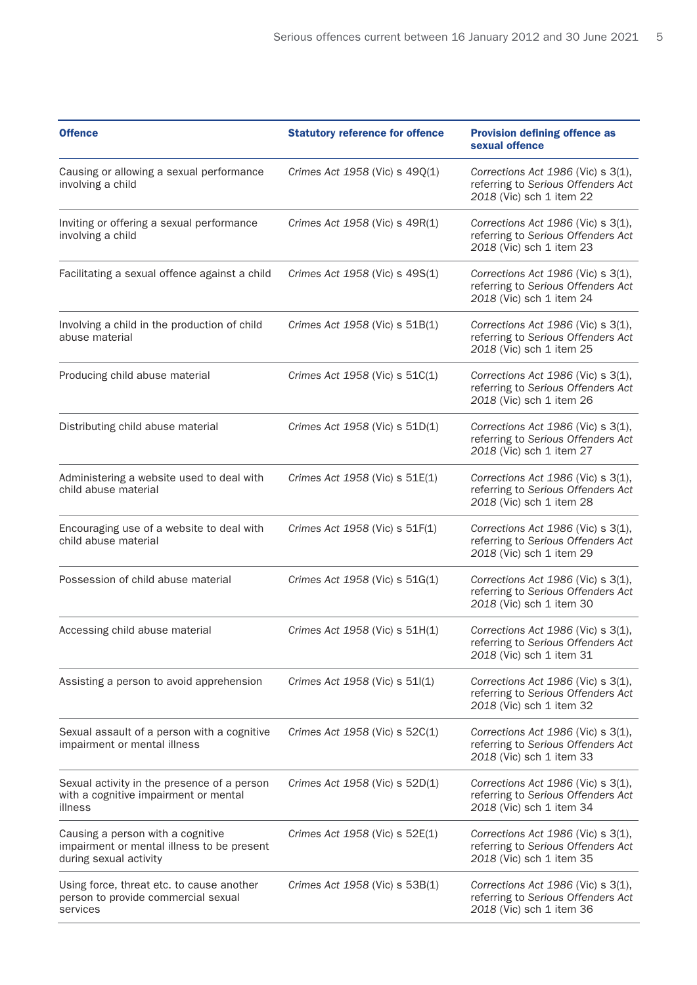| <b>Offence</b>                                                                                            | <b>Statutory reference for offence</b> | <b>Provision defining offence as</b><br>sexual offence                                                    |
|-----------------------------------------------------------------------------------------------------------|----------------------------------------|-----------------------------------------------------------------------------------------------------------|
| Causing or allowing a sexual performance<br>involving a child                                             | Crimes Act 1958 (Vic) s 49Q(1)         | Corrections Act $1986$ (Vic) s $3(1)$ ,<br>referring to Serious Offenders Act<br>2018 (Vic) sch 1 item 22 |
| Inviting or offering a sexual performance<br>involving a child                                            | Crimes Act 1958 (Vic) s 49R(1)         | Corrections Act 1986 (Vic) s 3(1),<br>referring to Serious Offenders Act<br>2018 (Vic) sch 1 item 23      |
| Facilitating a sexual offence against a child                                                             | Crimes Act 1958 (Vic) s 49S(1)         | Corrections Act 1986 (Vic) s 3(1),<br>referring to Serious Offenders Act<br>2018 (Vic) sch 1 item 24      |
| Involving a child in the production of child<br>abuse material                                            | Crimes Act 1958 (Vic) s 51B(1)         | Corrections Act $1986$ (Vic) s $3(1)$ ,<br>referring to Serious Offenders Act<br>2018 (Vic) sch 1 item 25 |
| Producing child abuse material                                                                            | Crimes Act 1958 (Vic) s 51C(1)         | Corrections Act 1986 (Vic) s 3(1),<br>referring to Serious Offenders Act<br>2018 (Vic) sch 1 item 26      |
| Distributing child abuse material                                                                         | Crimes Act 1958 (Vic) s 51D(1)         | Corrections Act 1986 (Vic) s 3(1),<br>referring to Serious Offenders Act<br>2018 (Vic) sch 1 item 27      |
| Administering a website used to deal with<br>child abuse material                                         | Crimes Act 1958 (Vic) s 51E(1)         | Corrections Act $1986$ (Vic) s $3(1)$ ,<br>referring to Serious Offenders Act<br>2018 (Vic) sch 1 item 28 |
| Encouraging use of a website to deal with<br>child abuse material                                         | Crimes Act 1958 (Vic) s 51F(1)         | Corrections Act 1986 (Vic) s 3(1),<br>referring to Serious Offenders Act<br>2018 (Vic) sch 1 item 29      |
| Possession of child abuse material                                                                        | Crimes Act 1958 (Vic) s 51G(1)         | Corrections Act 1986 (Vic) s 3(1),<br>referring to Serious Offenders Act<br>2018 (Vic) sch 1 item 30      |
| Accessing child abuse material                                                                            | Crimes Act 1958 (Vic) s 51H(1)         | Corrections Act 1986 (Vic) s 3(1),<br>referring to Serious Offenders Act<br>2018 (Vic) sch 1 item 31      |
| Assisting a person to avoid apprehension                                                                  | Crimes Act 1958 (Vic) s 51l(1)         | Corrections Act 1986 (Vic) s 3(1),<br>referring to Serious Offenders Act<br>2018 (Vic) sch 1 item 32      |
| Sexual assault of a person with a cognitive<br>impairment or mental illness                               | Crimes Act 1958 (Vic) s 52C(1)         | Corrections Act 1986 (Vic) s 3(1),<br>referring to Serious Offenders Act<br>2018 (Vic) sch 1 item 33      |
| Sexual activity in the presence of a person<br>with a cognitive impairment or mental<br>illness           | Crimes Act 1958 (Vic) s 52D(1)         | Corrections Act 1986 (Vic) s 3(1),<br>referring to Serious Offenders Act<br>2018 (Vic) sch 1 item 34      |
| Causing a person with a cognitive<br>impairment or mental illness to be present<br>during sexual activity | Crimes Act 1958 (Vic) s 52E(1)         | Corrections Act $1986$ (Vic) s $3(1)$ ,<br>referring to Serious Offenders Act<br>2018 (Vic) sch 1 item 35 |
| Using force, threat etc. to cause another<br>person to provide commercial sexual<br>services              | Crimes Act 1958 (Vic) s 53B(1)         | Corrections Act $1986$ (Vic) s $3(1)$ ,<br>referring to Serious Offenders Act<br>2018 (Vic) sch 1 item 36 |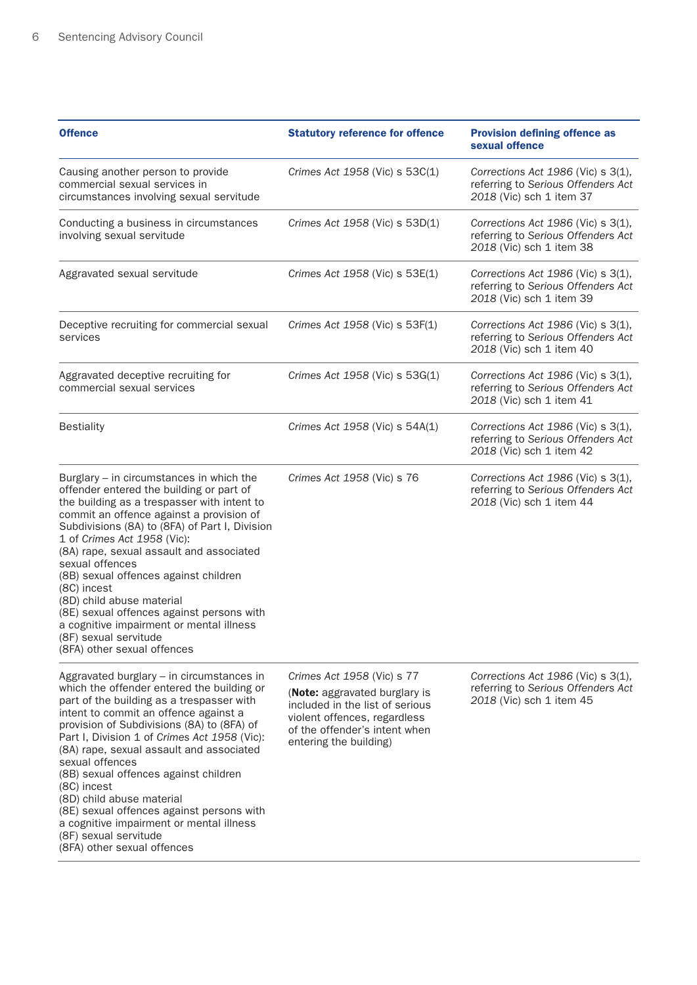| <b>Offence</b>                                                                                                                                                                                                                                                                                                                                                                                                                                                                                                                                                          | <b>Statutory reference for offence</b>                                                                                                                                                    | <b>Provision defining offence as</b><br>sexual offence                                                    |
|-------------------------------------------------------------------------------------------------------------------------------------------------------------------------------------------------------------------------------------------------------------------------------------------------------------------------------------------------------------------------------------------------------------------------------------------------------------------------------------------------------------------------------------------------------------------------|-------------------------------------------------------------------------------------------------------------------------------------------------------------------------------------------|-----------------------------------------------------------------------------------------------------------|
| Causing another person to provide<br>commercial sexual services in<br>circumstances involving sexual servitude                                                                                                                                                                                                                                                                                                                                                                                                                                                          | Crimes Act 1958 (Vic) s 53C(1)                                                                                                                                                            | Corrections Act $1986$ (Vic) s $3(1)$ ,<br>referring to Serious Offenders Act<br>2018 (Vic) sch 1 item 37 |
| Conducting a business in circumstances<br>involving sexual servitude                                                                                                                                                                                                                                                                                                                                                                                                                                                                                                    | Crimes Act 1958 (Vic) s 53D(1)                                                                                                                                                            | Corrections Act 1986 (Vic) s 3(1),<br>referring to Serious Offenders Act<br>2018 (Vic) sch 1 item 38      |
| Aggravated sexual servitude                                                                                                                                                                                                                                                                                                                                                                                                                                                                                                                                             | Crimes Act 1958 (Vic) s 53E(1)                                                                                                                                                            | Corrections Act 1986 (Vic) s 3(1),<br>referring to Serious Offenders Act<br>2018 (Vic) sch 1 item 39      |
| Deceptive recruiting for commercial sexual<br>services                                                                                                                                                                                                                                                                                                                                                                                                                                                                                                                  | Crimes Act 1958 (Vic) s 53F(1)                                                                                                                                                            | Corrections Act 1986 (Vic) s 3(1),<br>referring to Serious Offenders Act<br>2018 (Vic) sch 1 item 40      |
| Aggravated deceptive recruiting for<br>commercial sexual services                                                                                                                                                                                                                                                                                                                                                                                                                                                                                                       | Crimes Act 1958 (Vic) s 53G(1)                                                                                                                                                            | Corrections Act $1986$ (Vic) s $3(1)$ ,<br>referring to Serious Offenders Act<br>2018 (Vic) sch 1 item 41 |
| <b>Bestiality</b>                                                                                                                                                                                                                                                                                                                                                                                                                                                                                                                                                       | Crimes Act 1958 (Vic) s 54A(1)                                                                                                                                                            | Corrections Act 1986 (Vic) s 3(1),<br>referring to Serious Offenders Act<br>2018 (Vic) sch 1 item 42      |
| Burglary $-$ in circumstances in which the<br>offender entered the building or part of<br>the building as a trespasser with intent to<br>commit an offence against a provision of<br>Subdivisions (8A) to (8FA) of Part I, Division<br>1 of Crimes Act 1958 (Vic):<br>(8A) rape, sexual assault and associated<br>sexual offences<br>(8B) sexual offences against children<br>(8C) incest<br>(8D) child abuse material<br>(8E) sexual offences against persons with<br>a cognitive impairment or mental illness<br>(8F) sexual servitude<br>(8FA) other sexual offences | Crimes Act 1958 (Vic) s 76                                                                                                                                                                | Corrections Act $1986$ (Vic) s $3(1)$ ,<br>referring to Serious Offenders Act<br>2018 (Vic) sch 1 item 44 |
| Aggravated burglary - in circumstances in<br>which the offender entered the building or<br>part of the building as a trespasser with<br>intent to commit an offence against a<br>provision of Subdivisions (8A) to (8FA) of<br>Part I, Division 1 of Crimes Act 1958 (Vic):<br>(8A) rape, sexual assault and associated<br>sexual offences<br>(8B) sexual offences against children<br>(8C) incest<br>(8D) child abuse material<br>(8E) sexual offences against persons with<br>a cognitive impairment or mental illness                                                | Crimes Act 1958 (Vic) s 77<br>(Note: aggravated burglary is<br>included in the list of serious<br>violent offences, regardless<br>of the offender's intent when<br>entering the building) | Corrections Act 1986 (Vic) s 3(1),<br>referring to Serious Offenders Act<br>2018 (Vic) sch 1 item 45      |

(8F) sexual servitude

(8FA) other sexual offences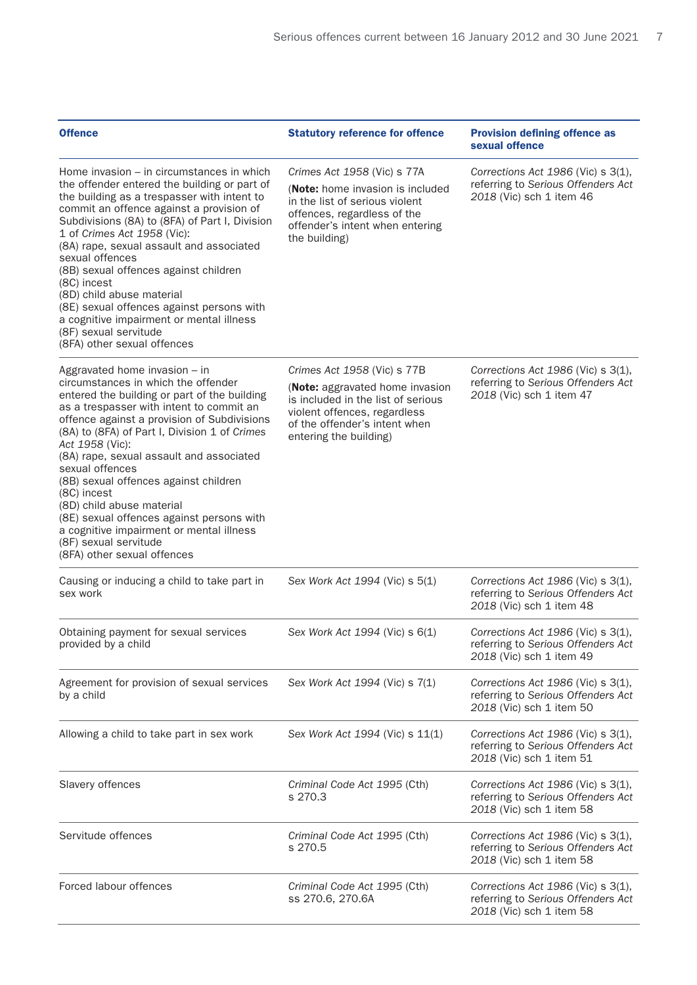| <b>Offence</b>                                                                                                                                                                                                                                                                                                                                                                                                                                                                                                                                                                           | <b>Statutory reference for offence</b>                                                                                                                                                          | <b>Provision defining offence as</b><br>sexual offence                                                    |
|------------------------------------------------------------------------------------------------------------------------------------------------------------------------------------------------------------------------------------------------------------------------------------------------------------------------------------------------------------------------------------------------------------------------------------------------------------------------------------------------------------------------------------------------------------------------------------------|-------------------------------------------------------------------------------------------------------------------------------------------------------------------------------------------------|-----------------------------------------------------------------------------------------------------------|
| Home invasion – in circumstances in which<br>the offender entered the building or part of<br>the building as a trespasser with intent to<br>commit an offence against a provision of<br>Subdivisions (8A) to (8FA) of Part I, Division<br>1 of Crimes Act 1958 (Vic):<br>(8A) rape, sexual assault and associated<br>sexual offences<br>(8B) sexual offences against children<br>(8C) incest<br>(8D) child abuse material<br>(8E) sexual offences against persons with<br>a cognitive impairment or mental illness<br>(8F) sexual servitude<br>(8FA) other sexual offences               | Crimes Act 1958 (Vic) s 77A<br>(Note: home invasion is included<br>in the list of serious violent<br>offences, regardless of the<br>offender's intent when entering<br>the building)            | Corrections Act $1986$ (Vic) s $3(1)$ ,<br>referring to Serious Offenders Act<br>2018 (Vic) sch 1 item 46 |
| Aggravated home invasion - in<br>circumstances in which the offender<br>entered the building or part of the building<br>as a trespasser with intent to commit an<br>offence against a provision of Subdivisions<br>(8A) to (8FA) of Part I, Division 1 of Crimes<br>Act 1958 (Vic):<br>(8A) rape, sexual assault and associated<br>sexual offences<br>(8B) sexual offences against children<br>(8C) incest<br>(8D) child abuse material<br>(8E) sexual offences against persons with<br>a cognitive impairment or mental illness<br>(8F) sexual servitude<br>(8FA) other sexual offences | Crimes Act 1958 (Vic) s 77B<br>(Note: aggravated home invasion<br>is included in the list of serious<br>violent offences, regardless<br>of the offender's intent when<br>entering the building) | Corrections Act $1986$ (Vic) s $3(1)$ ,<br>referring to Serious Offenders Act<br>2018 (Vic) sch 1 item 47 |
| Causing or inducing a child to take part in<br>sex work                                                                                                                                                                                                                                                                                                                                                                                                                                                                                                                                  | Sex Work Act 1994 (Vic) s 5(1)                                                                                                                                                                  | Corrections Act 1986 (Vic) s 3(1),<br>referring to Serious Offenders Act<br>2018 (Vic) sch 1 item 48      |
| Obtaining payment for sexual services<br>provided by a child                                                                                                                                                                                                                                                                                                                                                                                                                                                                                                                             | Sex Work Act 1994 (Vic) s 6(1)                                                                                                                                                                  | Corrections Act $1986$ (Vic) s $3(1)$ ,<br>referring to Serious Offenders Act<br>2018 (Vic) sch 1 item 49 |
| Agreement for provision of sexual services<br>by a child                                                                                                                                                                                                                                                                                                                                                                                                                                                                                                                                 | Sex Work Act 1994 (Vic) s 7(1)                                                                                                                                                                  | Corrections Act $1986$ (Vic) s $3(1)$ ,<br>referring to Serious Offenders Act<br>2018 (Vic) sch 1 item 50 |
| Allowing a child to take part in sex work                                                                                                                                                                                                                                                                                                                                                                                                                                                                                                                                                | Sex Work Act 1994 (Vic) s 11(1)                                                                                                                                                                 | Corrections Act $1986$ (Vic) s $3(1)$ ,<br>referring to Serious Offenders Act<br>2018 (Vic) sch 1 item 51 |
| Slavery offences                                                                                                                                                                                                                                                                                                                                                                                                                                                                                                                                                                         | Criminal Code Act 1995 (Cth)<br>s 270.3                                                                                                                                                         | Corrections Act 1986 (Vic) s 3(1),<br>referring to Serious Offenders Act<br>2018 (Vic) sch 1 item 58      |
| Servitude offences                                                                                                                                                                                                                                                                                                                                                                                                                                                                                                                                                                       | Criminal Code Act 1995 (Cth)<br>s 270.5                                                                                                                                                         | Corrections Act 1986 (Vic) s 3(1),<br>referring to Serious Offenders Act<br>2018 (Vic) sch 1 item 58      |
| Forced labour offences                                                                                                                                                                                                                                                                                                                                                                                                                                                                                                                                                                   | Criminal Code Act 1995 (Cth)<br>ss 270.6, 270.6A                                                                                                                                                | Corrections Act $1986$ (Vic) s $3(1)$ ,<br>referring to Serious Offenders Act<br>2018 (Vic) sch 1 item 58 |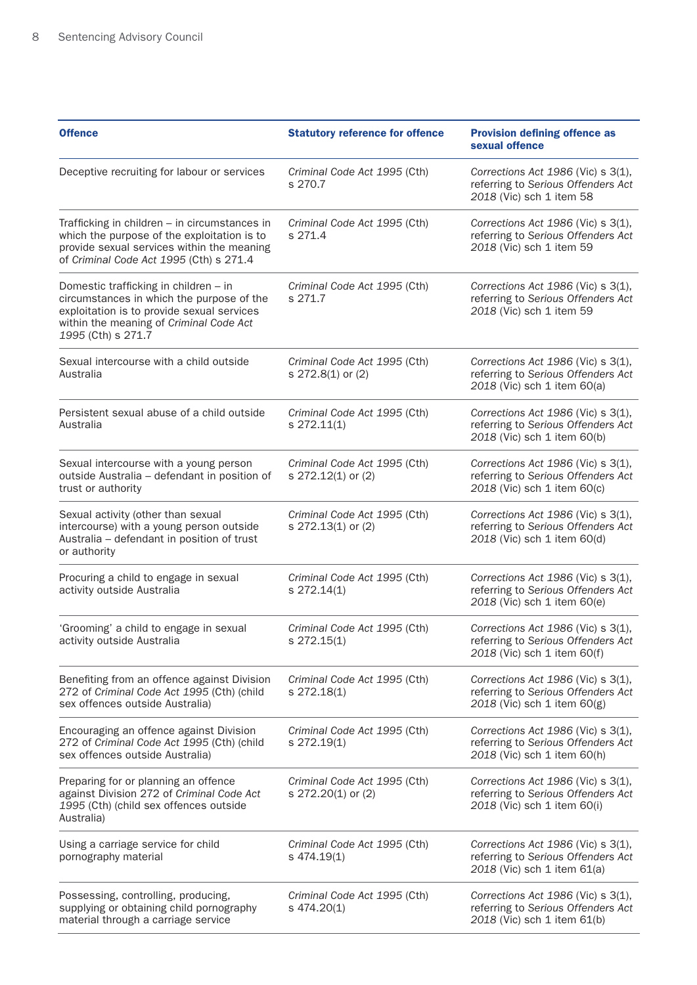| <b>Offence</b>                                                                                                                                                                                    | <b>Statutory reference for offence</b>             | <b>Provision defining offence as</b><br>sexual offence                                                       |
|---------------------------------------------------------------------------------------------------------------------------------------------------------------------------------------------------|----------------------------------------------------|--------------------------------------------------------------------------------------------------------------|
| Deceptive recruiting for labour or services                                                                                                                                                       | Criminal Code Act 1995 (Cth)<br>s 270.7            | Corrections Act 1986 (Vic) s 3(1),<br>referring to Serious Offenders Act<br>2018 (Vic) sch 1 item 58         |
| Trafficking in children - in circumstances in<br>which the purpose of the exploitation is to<br>provide sexual services within the meaning<br>of Criminal Code Act 1995 (Cth) s 271.4             | Criminal Code Act 1995 (Cth)<br>s 271.4            | Corrections Act $1986$ (Vic) s $3(1)$ ,<br>referring to Serious Offenders Act<br>2018 (Vic) sch 1 item 59    |
| Domestic trafficking in children - in<br>circumstances in which the purpose of the<br>exploitation is to provide sexual services<br>within the meaning of Criminal Code Act<br>1995 (Cth) s 271.7 | Criminal Code Act 1995 (Cth)<br>s 271.7            | Corrections Act 1986 (Vic) s 3(1),<br>referring to Serious Offenders Act<br>2018 (Vic) sch 1 item 59         |
| Sexual intercourse with a child outside<br>Australia                                                                                                                                              | Criminal Code Act 1995 (Cth)<br>s 272.8(1) or (2)  | Corrections Act 1986 (Vic) s 3(1),<br>referring to Serious Offenders Act<br>2018 (Vic) sch 1 item 60(a)      |
| Persistent sexual abuse of a child outside<br>Australia                                                                                                                                           | Criminal Code Act 1995 (Cth)<br>s 272.11(1)        | Corrections Act 1986 (Vic) s 3(1),<br>referring to Serious Offenders Act<br>2018 (Vic) sch 1 item 60(b)      |
| Sexual intercourse with a young person<br>outside Australia - defendant in position of<br>trust or authority                                                                                      | Criminal Code Act 1995 (Cth)<br>s 272.12(1) or (2) | Corrections Act 1986 (Vic) s 3(1),<br>referring to Serious Offenders Act<br>2018 (Vic) sch 1 item 60(c)      |
| Sexual activity (other than sexual<br>intercourse) with a young person outside<br>Australia - defendant in position of trust<br>or authority                                                      | Criminal Code Act 1995 (Cth)<br>s 272.13(1) or (2) | Corrections Act 1986 (Vic) s 3(1),<br>referring to Serious Offenders Act<br>2018 (Vic) sch 1 item 60(d)      |
| Procuring a child to engage in sexual<br>activity outside Australia                                                                                                                               | Criminal Code Act 1995 (Cth)<br>s 272.14(1)        | Corrections Act $1986$ (Vic) s $3(1)$ ,<br>referring to Serious Offenders Act<br>2018 (Vic) sch 1 item 60(e) |
| 'Grooming' a child to engage in sexual<br>activity outside Australia                                                                                                                              | Criminal Code Act 1995 (Cth)<br>s 272.15(1)        | Corrections Act 1986 (Vic) s 3(1),<br>referring to Serious Offenders Act<br>2018 (Vic) sch 1 item 60(f)      |
| Benefiting from an offence against Division<br>272 of Criminal Code Act 1995 (Cth) (child<br>sex offences outside Australia)                                                                      | Criminal Code Act 1995 (Cth)<br>s 272.18(1)        | Corrections Act 1986 (Vic) s 3(1),<br>referring to Serious Offenders Act<br>2018 (Vic) sch 1 item 60(g)      |
| Encouraging an offence against Division<br>272 of Criminal Code Act 1995 (Cth) (child<br>sex offences outside Australia)                                                                          | Criminal Code Act 1995 (Cth)<br>s 272.19(1)        | Corrections Act 1986 (Vic) s 3(1),<br>referring to Serious Offenders Act<br>2018 (Vic) sch 1 item 60(h)      |
| Preparing for or planning an offence<br>against Division 272 of Criminal Code Act<br>1995 (Cth) (child sex offences outside<br>Australia)                                                         | Criminal Code Act 1995 (Cth)<br>s 272.20(1) or (2) | Corrections Act $1986$ (Vic) s $3(1)$ ,<br>referring to Serious Offenders Act<br>2018 (Vic) sch 1 item 60(i) |
| Using a carriage service for child<br>pornography material                                                                                                                                        | Criminal Code Act 1995 (Cth)<br>s 474.19(1)        | Corrections Act $1986$ (Vic) s $3(1)$ ,<br>referring to Serious Offenders Act<br>2018 (Vic) sch 1 item 61(a) |
| Possessing, controlling, producing,<br>supplying or obtaining child pornography<br>material through a carriage service                                                                            | Criminal Code Act 1995 (Cth)<br>s 474.20(1)        | Corrections Act $1986$ (Vic) s $3(1)$ ,<br>referring to Serious Offenders Act<br>2018 (Vic) sch 1 item 61(b) |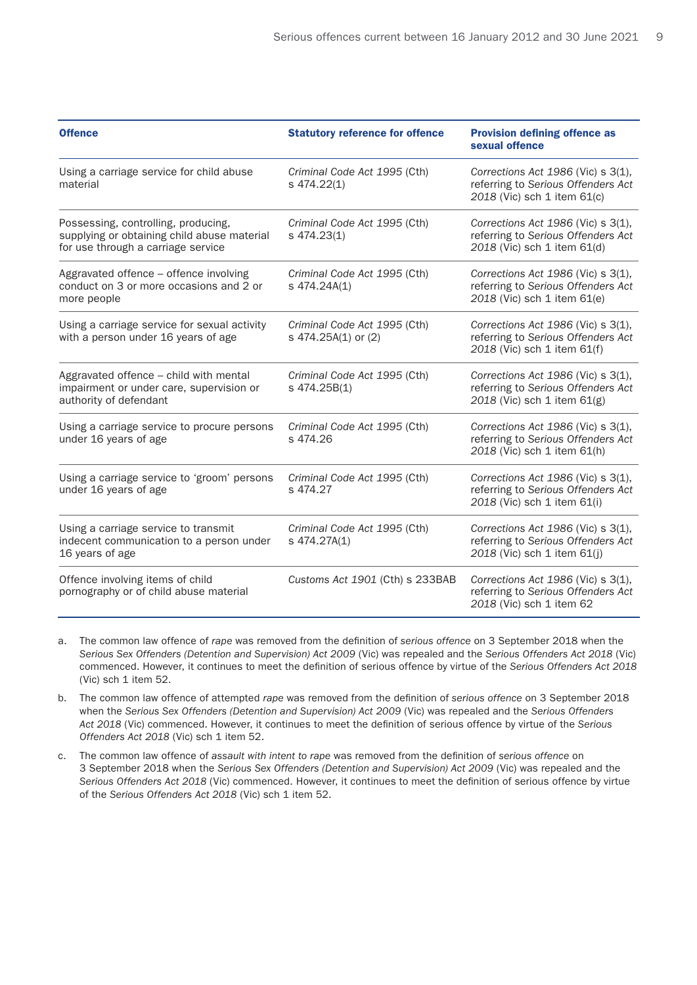| <b>Offence</b>                                                                                                           | <b>Statutory reference for offence</b>              | <b>Provision defining offence as</b><br>sexual offence                                                  |
|--------------------------------------------------------------------------------------------------------------------------|-----------------------------------------------------|---------------------------------------------------------------------------------------------------------|
| Using a carriage service for child abuse<br>material                                                                     | Criminal Code Act 1995 (Cth)<br>s 474.22(1)         | Corrections Act 1986 (Vic) s 3(1),<br>referring to Serious Offenders Act<br>2018 (Vic) sch 1 item 61(c) |
| Possessing, controlling, producing,<br>supplying or obtaining child abuse material<br>for use through a carriage service | Criminal Code Act 1995 (Cth)<br>s 474.23(1)         | Corrections Act 1986 (Vic) s 3(1),<br>referring to Serious Offenders Act<br>2018 (Vic) sch 1 item 61(d) |
| Aggravated offence - offence involving<br>conduct on 3 or more occasions and 2 or<br>more people                         | Criminal Code Act 1995 (Cth)<br>s 474.24A(1)        | Corrections Act 1986 (Vic) s 3(1),<br>referring to Serious Offenders Act<br>2018 (Vic) sch 1 item 61(e) |
| Using a carriage service for sexual activity<br>with a person under 16 years of age                                      | Criminal Code Act 1995 (Cth)<br>s 474.25A(1) or (2) | Corrections Act 1986 (Vic) s 3(1),<br>referring to Serious Offenders Act<br>2018 (Vic) sch 1 item 61(f) |
| Aggravated offence - child with mental<br>impairment or under care, supervision or<br>authority of defendant             | Criminal Code Act 1995 (Cth)<br>s 474.25B(1)        | Corrections Act 1986 (Vic) s 3(1),<br>referring to Serious Offenders Act<br>2018 (Vic) sch 1 item 61(g) |
| Using a carriage service to procure persons<br>under 16 years of age                                                     | Criminal Code Act 1995 (Cth)<br>s 474.26            | Corrections Act 1986 (Vic) s 3(1),<br>referring to Serious Offenders Act<br>2018 (Vic) sch 1 item 61(h) |
| Using a carriage service to 'groom' persons<br>under 16 years of age                                                     | Criminal Code Act 1995 (Cth)<br>s 474.27            | Corrections Act 1986 (Vic) s 3(1),<br>referring to Serious Offenders Act<br>2018 (Vic) sch 1 item 61(i) |
| Using a carriage service to transmit<br>indecent communication to a person under<br>16 years of age                      | Criminal Code Act 1995 (Cth)<br>s 474.27A(1)        | Corrections Act 1986 (Vic) s 3(1),<br>referring to Serious Offenders Act<br>2018 (Vic) sch 1 item 61(j) |
| Offence involving items of child<br>pornography or of child abuse material                                               | Customs Act 1901 (Cth) s 233BAB                     | Corrections Act 1986 (Vic) s 3(1),<br>referring to Serious Offenders Act<br>2018 (Vic) sch 1 item 62    |

- a. The common law offence of *rape* was removed from the definition of *serious offence* on 3 September 2018 when the *Serious Sex Offenders (Detention and Supervision) Act 2009* (Vic) was repealed and the *Serious Offenders Act 2018* (Vic) commenced. However, it continues to meet the definition of serious offence by virtue of the *Serious Offenders Act 2018* (Vic) sch 1 item 52.
- b. The common law offence of attempted *rape* was removed from the definition of *serious offence* on 3 September 2018 when the *Serious Sex Offenders (Detention and Supervision) Act 2009* (Vic) was repealed and the *Serious Offenders Act 2018* (Vic) commenced. However, it continues to meet the definition of serious offence by virtue of the *Serious Offenders Act 2018* (Vic) sch 1 item 52.
- c. The common law offence of *assault with intent to rape* was removed from the definition of *serious offence* on 3 September 2018 when the *Serious Sex Offenders (Detention and Supervision) Act 2009* (Vic) was repealed and the *Serious Offenders Act 2018* (Vic) commenced. However, it continues to meet the definition of serious offence by virtue of the *Serious Offenders Act 2018* (Vic) sch 1 item 52.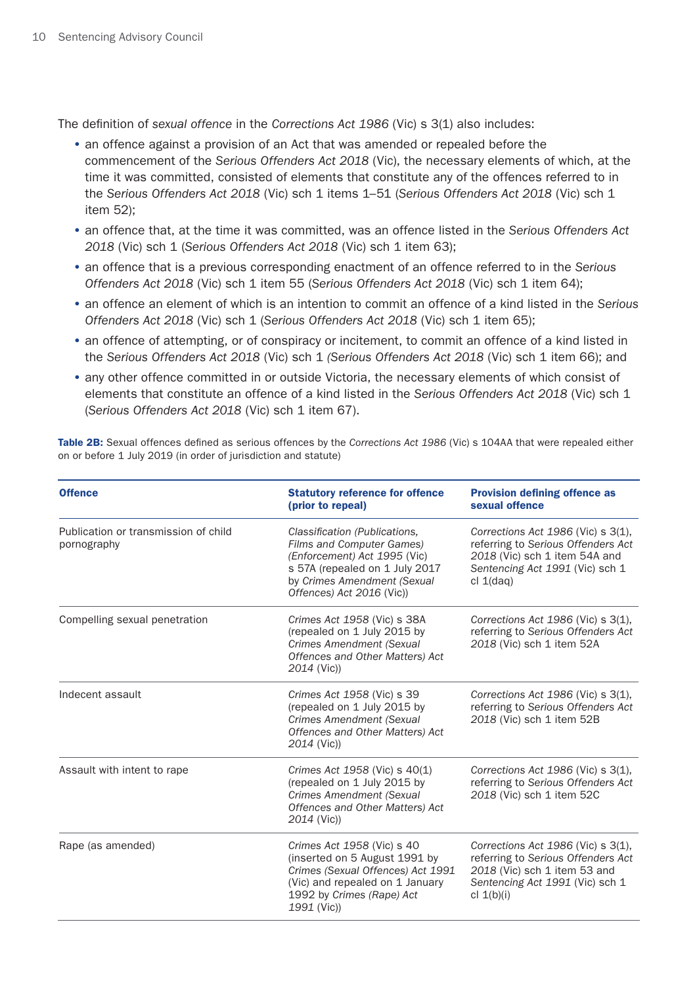The definition of *sexual offence* in the *Corrections Act 1986* (Vic) s 3(1) also includes:

- an offence against a provision of an Act that was amended or repealed before the commencement of the *Serious Offenders Act 2018* (Vic), the necessary elements of which, at the time it was committed, consisted of elements that constitute any of the offences referred to in the *Serious Offenders Act 2018* (Vic) sch 1 items 1–51 (*Serious Offenders Act 2018* (Vic) sch 1 item 52);
- an offence that, at the time it was committed, was an offence listed in the *Serious Offenders Act 2018* (Vic) sch 1 (*Serious Offenders Act 2018* (Vic) sch 1 item 63);
- an offence that is a previous corresponding enactment of an offence referred to in the *Serious Offenders Act 2018* (Vic) sch 1 item 55 (*Serious Offenders Act 2018* (Vic) sch 1 item 64);
- an offence an element of which is an intention to commit an offence of a kind listed in the *Serious Offenders Act 2018* (Vic) sch 1 (*Serious Offenders Act 2018* (Vic) sch 1 item 65);
- an offence of attempting, or of conspiracy or incitement, to commit an offence of a kind listed in the *Serious Offenders Act 2018* (Vic) sch 1 *(Serious Offenders Act 2018* (Vic) sch 1 item 66); and
- any other offence committed in or outside Victoria, the necessary elements of which consist of elements that constitute an offence of a kind listed in the *Serious Offenders Act 2018* (Vic) sch 1 (*Serious Offenders Act 2018* (Vic) sch 1 item 67).

Table 2B: Sexual offences defined as serious offences by the *Corrections Act 1986* (Vic) s 104AA that were repealed either on or before 1 July 2019 (in order of jurisdiction and statute)

| <b>Offence</b>                                      | <b>Statutory reference for offence</b><br>(prior to repeal)                                                                                                                              | <b>Provision defining offence as</b><br>sexual offence                                                                                                      |
|-----------------------------------------------------|------------------------------------------------------------------------------------------------------------------------------------------------------------------------------------------|-------------------------------------------------------------------------------------------------------------------------------------------------------------|
| Publication or transmission of child<br>pornography | Classification (Publications,<br>Films and Computer Games)<br>(Enforcement) Act 1995 (Vic)<br>s 57A (repealed on 1 July 2017<br>by Crimes Amendment (Sexual<br>Offences) Act 2016 (Vic)) | Corrections Act 1986 (Vic) s 3(1),<br>referring to Serious Offenders Act<br>2018 (Vic) sch 1 item 54A and<br>Sentencing Act 1991 (Vic) sch 1<br>cl 1(daq)   |
| Compelling sexual penetration                       | Crimes Act 1958 (Vic) s 38A<br>(repealed on 1 July 2015 by<br><b>Crimes Amendment (Sexual</b><br>Offences and Other Matters) Act<br>2014 (Vic))                                          | Corrections Act 1986 (Vic) s 3(1),<br>referring to Serious Offenders Act<br>2018 (Vic) sch 1 item 52A                                                       |
| Indecent assault                                    | Crimes Act 1958 (Vic) s 39<br>(repealed on 1 July 2015 by<br><b>Crimes Amendment (Sexual</b><br>Offences and Other Matters) Act<br>2014 (Vic))                                           | Corrections Act 1986 (Vic) s 3(1),<br>referring to Serious Offenders Act<br>2018 (Vic) sch 1 item 52B                                                       |
| Assault with intent to rape                         | Crimes Act 1958 (Vic) s 40(1)<br>(repealed on 1 July 2015 by<br><b>Crimes Amendment (Sexual</b><br>Offences and Other Matters) Act<br>2014 (Vic))                                        | Corrections Act 1986 (Vic) s 3(1),<br>referring to Serious Offenders Act<br>2018 (Vic) sch 1 item 52C                                                       |
| Rape (as amended)                                   | Crimes Act 1958 (Vic) s 40<br>(inserted on 5 August 1991 by<br>Crimes (Sexual Offences) Act 1991<br>(Vic) and repealed on 1 January<br>1992 by Crimes (Rape) Act<br>1991 (Vic))          | Corrections Act 1986 (Vic) s 3(1),<br>referring to Serious Offenders Act<br>2018 (Vic) sch 1 item 53 and<br>Sentencing Act 1991 (Vic) sch 1<br>cl $1(b)(i)$ |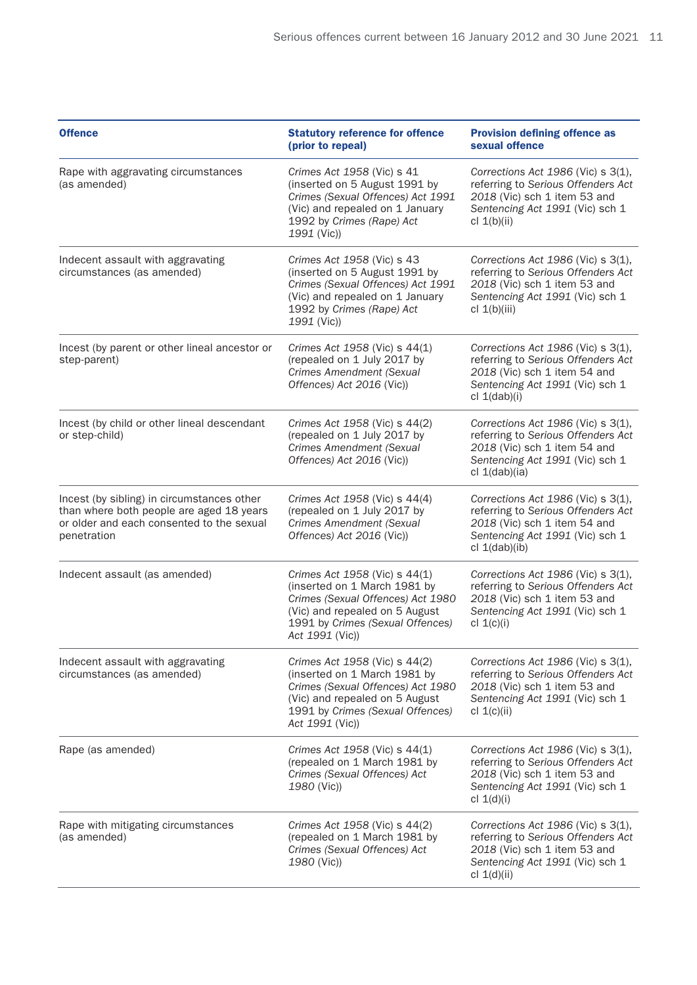| <b>Offence</b>                                                                                                                                     | <b>Statutory reference for offence</b><br>(prior to repeal)                                                                                                                                 | <b>Provision defining offence as</b><br>sexual offence                                                                                                            |
|----------------------------------------------------------------------------------------------------------------------------------------------------|---------------------------------------------------------------------------------------------------------------------------------------------------------------------------------------------|-------------------------------------------------------------------------------------------------------------------------------------------------------------------|
| Rape with aggravating circumstances<br>(as amended)                                                                                                | Crimes Act 1958 (Vic) s 41<br>(inserted on 5 August 1991 by<br>Crimes (Sexual Offences) Act 1991<br>(Vic) and repealed on 1 January<br>1992 by Crimes (Rape) Act<br>1991 (Vic))             | Corrections Act 1986 (Vic) s 3(1),<br>referring to Serious Offenders Act<br>2018 (Vic) sch 1 item 53 and<br>Sentencing Act 1991 (Vic) sch 1<br>cl $1(b)(ii)$      |
| Indecent assault with aggravating<br>circumstances (as amended)                                                                                    | Crimes Act 1958 (Vic) s 43<br>(inserted on 5 August 1991 by<br>Crimes (Sexual Offences) Act 1991<br>(Vic) and repealed on 1 January<br>1992 by Crimes (Rape) Act<br>1991 (Vic))             | Corrections Act 1986 (Vic) s 3(1),<br>referring to Serious Offenders Act<br>2018 (Vic) sch 1 item 53 and<br>Sentencing Act 1991 (Vic) sch 1<br>cl $1(b)(iii)$     |
| Incest (by parent or other lineal ancestor or<br>step-parent)                                                                                      | Crimes Act 1958 (Vic) s 44(1)<br>(repealed on 1 July 2017 by<br><b>Crimes Amendment (Sexual</b><br>Offences) Act 2016 (Vic))                                                                | Corrections Act $1986$ (Vic) s $3(1)$ ,<br>referring to Serious Offenders Act<br>2018 (Vic) sch 1 item 54 and<br>Sentencing Act 1991 (Vic) sch 1<br>cl 1(dab)(i)  |
| Incest (by child or other lineal descendant<br>or step-child)                                                                                      | Crimes Act 1958 (Vic) s 44(2)<br>(repealed on 1 July 2017 by<br><b>Crimes Amendment (Sexual</b><br>Offences) Act 2016 (Vic))                                                                | Corrections Act 1986 (Vic) s 3(1),<br>referring to Serious Offenders Act<br>2018 (Vic) sch 1 item 54 and<br>Sentencing Act 1991 (Vic) sch 1<br>cl 1(dab)(ia)      |
| Incest (by sibling) in circumstances other<br>than where both people are aged 18 years<br>or older and each consented to the sexual<br>penetration | Crimes Act 1958 (Vic) s 44(4)<br>(repealed on 1 July 2017 by<br>Crimes Amendment (Sexual<br>Offences) Act 2016 (Vic))                                                                       | Corrections Act 1986 (Vic) s 3(1),<br>referring to Serious Offenders Act<br>2018 (Vic) sch 1 item 54 and<br>Sentencing Act 1991 (Vic) sch 1<br>cl 1(dab)(ib)      |
| Indecent assault (as amended)                                                                                                                      | Crimes Act 1958 (Vic) s 44(1)<br>(inserted on 1 March 1981 by<br>Crimes (Sexual Offences) Act 1980<br>(Vic) and repealed on 5 August<br>1991 by Crimes (Sexual Offences)<br>Act 1991 (Vic)) | Corrections Act 1986 (Vic) s 3(1),<br>referring to Serious Offenders Act<br>2018 (Vic) sch 1 item 53 and<br>Sentencing Act 1991 (Vic) sch 1<br>cl $1(c)(i)$       |
| Indecent assault with aggravating<br>circumstances (as amended)                                                                                    | Crimes Act 1958 (Vic) s 44(2)<br>(inserted on 1 March 1981 by<br>Crimes (Sexual Offences) Act 1980<br>(Vic) and repealed on 5 August<br>1991 by Crimes (Sexual Offences)<br>Act 1991 (Vic)) | Corrections Act $1986$ (Vic) s $3(1)$ ,<br>referring to Serious Offenders Act<br>2018 (Vic) sch 1 item 53 and<br>Sentencing Act 1991 (Vic) sch 1<br>cl $1(c)(ii)$ |
| Rape (as amended)                                                                                                                                  | Crimes Act 1958 (Vic) s 44(1)<br>(repealed on 1 March 1981 by<br>Crimes (Sexual Offences) Act<br>1980 (Vic))                                                                                | Corrections Act 1986 (Vic) s 3(1),<br>referring to Serious Offenders Act<br>2018 (Vic) sch 1 item 53 and<br>Sentencing Act 1991 (Vic) sch 1<br>cl $1(d)(i)$       |
| Rape with mitigating circumstances<br>(as amended)                                                                                                 | Crimes Act 1958 (Vic) s 44(2)<br>(repealed on 1 March 1981 by<br>Crimes (Sexual Offences) Act<br>1980 (Vic))                                                                                | Corrections Act $1986$ (Vic) s $3(1)$ ,<br>referring to Serious Offenders Act<br>2018 (Vic) sch 1 item 53 and<br>Sentencing Act 1991 (Vic) sch 1<br>cl 1(d)(ii)   |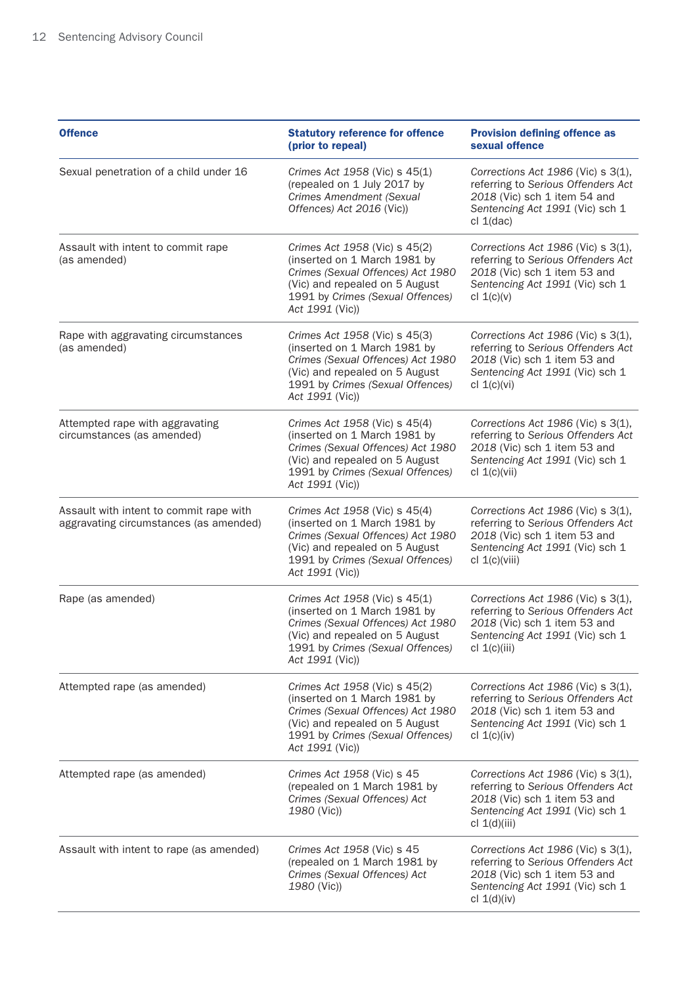| <b>Offence</b>                                                                    | <b>Statutory reference for offence</b><br>(prior to repeal)                                                                                                                                 | <b>Provision defining offence as</b><br>sexual offence                                                                                                            |
|-----------------------------------------------------------------------------------|---------------------------------------------------------------------------------------------------------------------------------------------------------------------------------------------|-------------------------------------------------------------------------------------------------------------------------------------------------------------------|
| Sexual penetration of a child under 16                                            | Crimes Act 1958 (Vic) s 45(1)<br>(repealed on 1 July 2017 by<br>Crimes Amendment (Sexual<br>Offences) Act 2016 (Vic))                                                                       | Corrections Act $1986$ (Vic) s $3(1)$ ,<br>referring to Serious Offenders Act<br>2018 (Vic) sch 1 item 54 and<br>Sentencing Act 1991 (Vic) sch 1<br>cl 1(dac)     |
| Assault with intent to commit rape<br>(as amended)                                | Crimes Act 1958 (Vic) s 45(2)<br>(inserted on 1 March 1981 by<br>Crimes (Sexual Offences) Act 1980<br>(Vic) and repealed on 5 August<br>1991 by Crimes (Sexual Offences)<br>Act 1991 (Vic)) | Corrections Act 1986 (Vic) s 3(1),<br>referring to Serious Offenders Act<br>2018 (Vic) sch 1 item 53 and<br>Sentencing Act 1991 (Vic) sch 1<br>cl $1(c)(v)$       |
| Rape with aggravating circumstances<br>(as amended)                               | Crimes Act 1958 (Vic) s 45(3)<br>(inserted on 1 March 1981 by<br>Crimes (Sexual Offences) Act 1980<br>(Vic) and repealed on 5 August<br>1991 by Crimes (Sexual Offences)<br>Act 1991 (Vic)) | Corrections Act 1986 (Vic) s 3(1),<br>referring to Serious Offenders Act<br>2018 (Vic) sch 1 item 53 and<br>Sentencing Act 1991 (Vic) sch 1<br>cl $1(c)(vi)$      |
| Attempted rape with aggravating<br>circumstances (as amended)                     | Crimes Act 1958 (Vic) s 45(4)<br>(inserted on 1 March 1981 by<br>Crimes (Sexual Offences) Act 1980<br>(Vic) and repealed on 5 August<br>1991 by Crimes (Sexual Offences)<br>Act 1991 (Vic)) | Corrections Act 1986 (Vic) s 3(1),<br>referring to Serious Offenders Act<br>2018 (Vic) sch 1 item 53 and<br>Sentencing Act 1991 (Vic) sch 1<br>cl 1(c)(vii)       |
| Assault with intent to commit rape with<br>aggravating circumstances (as amended) | Crimes Act 1958 (Vic) s 45(4)<br>(inserted on 1 March 1981 by<br>Crimes (Sexual Offences) Act 1980<br>(Vic) and repealed on 5 August<br>1991 by Crimes (Sexual Offences)<br>Act 1991 (Vic)) | Corrections Act 1986 (Vic) s 3(1),<br>referring to Serious Offenders Act<br>2018 (Vic) sch 1 item 53 and<br>Sentencing Act 1991 (Vic) sch 1<br>cl $1(c)(viii)$    |
| Rape (as amended)                                                                 | Crimes Act 1958 (Vic) s 45(1)<br>(inserted on 1 March 1981 by<br>Crimes (Sexual Offences) Act 1980<br>(Vic) and repealed on 5 August<br>1991 by Crimes (Sexual Offences)<br>Act 1991 (Vic)) | Corrections Act 1986 (Vic) s 3(1),<br>referring to Serious Offenders Act<br>2018 (Vic) sch 1 item 53 and<br>Sentencing Act 1991 (Vic) sch 1<br>cl $1(c)(iii)$     |
| Attempted rape (as amended)                                                       | Crimes Act 1958 (Vic) s 45(2)<br>(inserted on 1 March 1981 by<br>Crimes (Sexual Offences) Act 1980<br>(Vic) and repealed on 5 August<br>1991 by Crimes (Sexual Offences)<br>Act 1991 (Vic)) | Corrections Act $1986$ (Vic) s $3(1)$ ,<br>referring to Serious Offenders Act<br>2018 (Vic) sch 1 item 53 and<br>Sentencing Act 1991 (Vic) sch 1<br>cl $1(c)(iv)$ |
| Attempted rape (as amended)                                                       | Crimes Act 1958 (Vic) s 45<br>(repealed on 1 March 1981 by<br>Crimes (Sexual Offences) Act<br>1980 (Vic))                                                                                   | Corrections Act 1986 (Vic) s 3(1),<br>referring to Serious Offenders Act<br>2018 (Vic) sch 1 item 53 and<br>Sentencing Act 1991 (Vic) sch 1<br>cl $1(d)(iii)$     |
| Assault with intent to rape (as amended)                                          | Crimes Act 1958 (Vic) s 45<br>(repealed on 1 March 1981 by<br>Crimes (Sexual Offences) Act<br>1980 (Vic))                                                                                   | Corrections Act 1986 (Vic) s 3(1),<br>referring to Serious Offenders Act<br>2018 (Vic) sch 1 item 53 and<br>Sentencing Act 1991 (Vic) sch 1<br>cl $1(d)(iv)$      |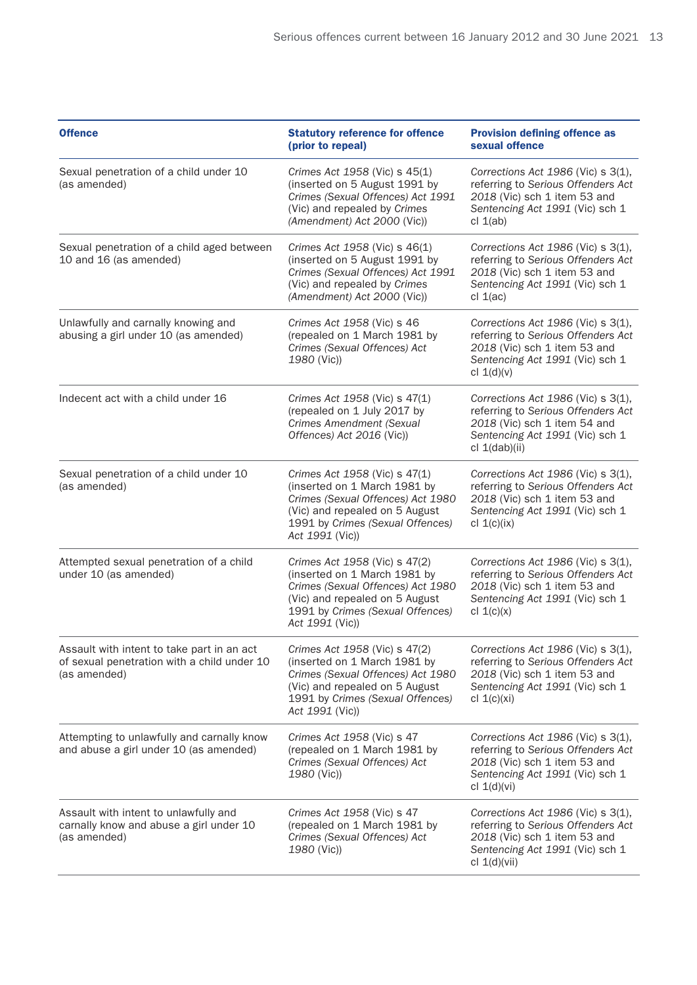| <b>Offence</b>                                                                                            | <b>Statutory reference for offence</b><br>(prior to repeal)                                                                                                                                 | <b>Provision defining offence as</b><br>sexual offence                                                                                                            |
|-----------------------------------------------------------------------------------------------------------|---------------------------------------------------------------------------------------------------------------------------------------------------------------------------------------------|-------------------------------------------------------------------------------------------------------------------------------------------------------------------|
| Sexual penetration of a child under 10<br>(as amended)                                                    | Crimes Act 1958 (Vic) s 45(1)<br>(inserted on 5 August 1991 by<br>Crimes (Sexual Offences) Act 1991<br>(Vic) and repealed by Crimes<br>(Amendment) Act 2000 (Vic))                          | Corrections Act 1986 (Vic) s 3(1),<br>referring to Serious Offenders Act<br>2018 (Vic) sch 1 item 53 and<br>Sentencing Act 1991 (Vic) sch 1<br>cl $1(ab)$         |
| Sexual penetration of a child aged between<br>10 and 16 (as amended)                                      | Crimes Act 1958 (Vic) s 46(1)<br>(inserted on 5 August 1991 by<br>Crimes (Sexual Offences) Act 1991<br>(Vic) and repealed by Crimes<br>(Amendment) Act 2000 (Vic))                          | Corrections Act 1986 (Vic) s 3(1),<br>referring to Serious Offenders Act<br>2018 (Vic) sch 1 item 53 and<br>Sentencing Act 1991 (Vic) sch 1<br>cl $1$ (ac)        |
| Unlawfully and carnally knowing and<br>abusing a girl under 10 (as amended)                               | Crimes Act 1958 (Vic) s 46<br>(repealed on 1 March 1981 by<br>Crimes (Sexual Offences) Act<br>1980 (Vic))                                                                                   | Corrections Act $1986$ (Vic) s $3(1)$ ,<br>referring to Serious Offenders Act<br>2018 (Vic) sch 1 item 53 and<br>Sentencing Act 1991 (Vic) sch 1<br>cl $1(d)(v)$  |
| Indecent act with a child under 16                                                                        | Crimes Act 1958 (Vic) s 47(1)<br>(repealed on 1 July 2017 by<br><b>Crimes Amendment (Sexual</b><br>Offences) Act 2016 (Vic))                                                                | Corrections Act 1986 (Vic) s 3(1),<br>referring to Serious Offenders Act<br>2018 (Vic) sch 1 item 54 and<br>Sentencing Act 1991 (Vic) sch 1<br>cl 1(dab)(ii)      |
| Sexual penetration of a child under 10<br>(as amended)                                                    | Crimes Act 1958 (Vic) s 47(1)<br>(inserted on 1 March 1981 by<br>Crimes (Sexual Offences) Act 1980<br>(Vic) and repealed on 5 August<br>1991 by Crimes (Sexual Offences)<br>Act 1991 (Vic)) | Corrections Act 1986 (Vic) s 3(1),<br>referring to Serious Offenders Act<br>2018 (Vic) sch 1 item 53 and<br>Sentencing Act 1991 (Vic) sch 1<br>cl 1(c)(ix)        |
| Attempted sexual penetration of a child<br>under 10 (as amended)                                          | Crimes Act 1958 (Vic) s 47(2)<br>(inserted on 1 March 1981 by<br>Crimes (Sexual Offences) Act 1980<br>(Vic) and repealed on 5 August<br>1991 by Crimes (Sexual Offences)<br>Act 1991 (Vic)) | Corrections Act 1986 (Vic) s 3(1),<br>referring to Serious Offenders Act<br>2018 (Vic) sch 1 item 53 and<br>Sentencing Act 1991 (Vic) sch 1<br>cl $1(c)(x)$       |
| Assault with intent to take part in an act<br>of sexual penetration with a child under 10<br>(as amended) | Crimes Act 1958 (Vic) s 47(2)<br>(inserted on 1 March 1981 by<br>Crimes (Sexual Offences) Act 1980<br>(Vic) and repealed on 5 August<br>1991 by Crimes (Sexual Offences)<br>Act 1991 (Vic)) | Corrections Act $1986$ (Vic) s $3(1)$ ,<br>referring to Serious Offenders Act<br>2018 (Vic) sch 1 item 53 and<br>Sentencing Act 1991 (Vic) sch 1<br>cl $1(c)(xi)$ |
| Attempting to unlawfully and carnally know<br>and abuse a girl under 10 (as amended)                      | Crimes Act 1958 (Vic) s 47<br>(repealed on 1 March 1981 by<br>Crimes (Sexual Offences) Act<br>1980 (Vic))                                                                                   | Corrections Act $1986$ (Vic) s $3(1)$ ,<br>referring to Serious Offenders Act<br>2018 (Vic) sch 1 item 53 and<br>Sentencing Act 1991 (Vic) sch 1<br>cl $1(d)(vi)$ |
| Assault with intent to unlawfully and<br>carnally know and abuse a girl under 10<br>(as amended)          | Crimes Act 1958 (Vic) s 47<br>(repealed on 1 March 1981 by<br>Crimes (Sexual Offences) Act<br>1980 (Vic))                                                                                   | Corrections Act $1986$ (Vic) s $3(1)$ ,<br>referring to Serious Offenders Act<br>2018 (Vic) sch 1 item 53 and<br>Sentencing Act 1991 (Vic) sch 1<br>cl 1(d)(vii)  |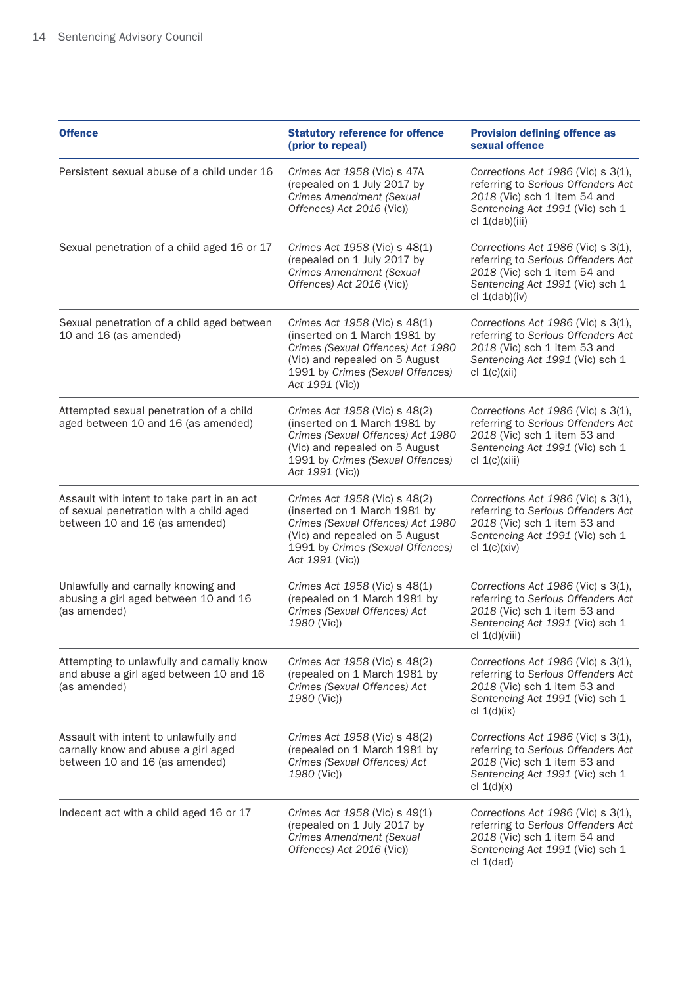| <b>Offence</b>                                                                                                          | <b>Statutory reference for offence</b><br>(prior to repeal)                                                                                                                                 | <b>Provision defining offence as</b><br>sexual offence                                                                                                            |
|-------------------------------------------------------------------------------------------------------------------------|---------------------------------------------------------------------------------------------------------------------------------------------------------------------------------------------|-------------------------------------------------------------------------------------------------------------------------------------------------------------------|
| Persistent sexual abuse of a child under 16                                                                             | Crimes Act 1958 (Vic) s 47A<br>(repealed on 1 July 2017 by<br>Crimes Amendment (Sexual<br>Offences) Act 2016 (Vic))                                                                         | Corrections Act 1986 (Vic) s 3(1),<br>referring to Serious Offenders Act<br>2018 (Vic) sch 1 item 54 and<br>Sentencing Act 1991 (Vic) sch 1<br>cl 1(dab)(iii)     |
| Sexual penetration of a child aged 16 or 17                                                                             | Crimes Act 1958 (Vic) s 48(1)<br>(repealed on 1 July 2017 by<br>Crimes Amendment (Sexual<br>Offences) Act 2016 (Vic))                                                                       | Corrections Act $1986$ (Vic) s $3(1)$ ,<br>referring to Serious Offenders Act<br>2018 (Vic) sch 1 item 54 and<br>Sentencing Act 1991 (Vic) sch 1<br>cl 1(dab)(iv) |
| Sexual penetration of a child aged between<br>10 and 16 (as amended)                                                    | Crimes Act 1958 (Vic) s 48(1)<br>(inserted on 1 March 1981 by<br>Crimes (Sexual Offences) Act 1980<br>(Vic) and repealed on 5 August<br>1991 by Crimes (Sexual Offences)<br>Act 1991 (Vic)) | Corrections Act 1986 (Vic) s 3(1),<br>referring to Serious Offenders Act<br>2018 (Vic) sch 1 item 53 and<br>Sentencing Act 1991 (Vic) sch 1<br>cl $1(c)(xii)$     |
| Attempted sexual penetration of a child<br>aged between 10 and 16 (as amended)                                          | Crimes Act 1958 (Vic) s 48(2)<br>(inserted on 1 March 1981 by<br>Crimes (Sexual Offences) Act 1980<br>(Vic) and repealed on 5 August<br>1991 by Crimes (Sexual Offences)<br>Act 1991 (Vic)) | Corrections Act 1986 (Vic) s 3(1),<br>referring to Serious Offenders Act<br>2018 (Vic) sch 1 item 53 and<br>Sentencing Act 1991 (Vic) sch 1<br>cl 1(c)(xiii)      |
| Assault with intent to take part in an act<br>of sexual penetration with a child aged<br>between 10 and 16 (as amended) | Crimes Act 1958 (Vic) s 48(2)<br>(inserted on 1 March 1981 by<br>Crimes (Sexual Offences) Act 1980<br>(Vic) and repealed on 5 August<br>1991 by Crimes (Sexual Offences)<br>Act 1991 (Vic)) | Corrections Act 1986 (Vic) s 3(1),<br>referring to Serious Offenders Act<br>2018 (Vic) sch 1 item 53 and<br>Sentencing Act 1991 (Vic) sch 1<br>cl $1(c)(xiv)$     |
| Unlawfully and carnally knowing and<br>abusing a girl aged between 10 and 16<br>(as amended)                            | Crimes Act 1958 (Vic) s 48(1)<br>(repealed on 1 March 1981 by<br>Crimes (Sexual Offences) Act<br>1980 (Vic))                                                                                | Corrections Act 1986 (Vic) s 3(1),<br>referring to Serious Offenders Act<br>2018 (Vic) sch 1 item 53 and<br>Sentencing Act 1991 (Vic) sch 1<br>cl 1(d)(viii)      |
| Attempting to unlawfully and carnally know<br>and abuse a girl aged between 10 and 16<br>(as amended)                   | Crimes Act 1958 (Vic) s 48(2)<br>(repealed on 1 March 1981 by<br>Crimes (Sexual Offences) Act<br>1980 (Vic))                                                                                | Corrections Act $1986$ (Vic) s $3(1)$ ,<br>referring to Serious Offenders Act<br>2018 (Vic) sch 1 item 53 and<br>Sentencing Act 1991 (Vic) sch 1<br>cl $1(d)(ix)$ |
| Assault with intent to unlawfully and<br>carnally know and abuse a girl aged<br>between 10 and 16 (as amended)          | Crimes Act 1958 (Vic) s 48(2)<br>(repealed on 1 March 1981 by<br>Crimes (Sexual Offences) Act<br>1980 (Vic))                                                                                | Corrections Act 1986 (Vic) s 3(1),<br>referring to Serious Offenders Act<br>2018 (Vic) sch 1 item 53 and<br>Sentencing Act 1991 (Vic) sch 1<br>cl $1(d)(x)$       |
| Indecent act with a child aged 16 or 17                                                                                 | Crimes Act 1958 (Vic) s 49(1)<br>(repealed on 1 July 2017 by<br>Crimes Amendment (Sexual<br>Offences) Act 2016 (Vic))                                                                       | Corrections Act $1986$ (Vic) s $3(1)$ ,<br>referring to Serious Offenders Act<br>2018 (Vic) sch 1 item 54 and<br>Sentencing Act 1991 (Vic) sch 1<br>cl 1(dad)     |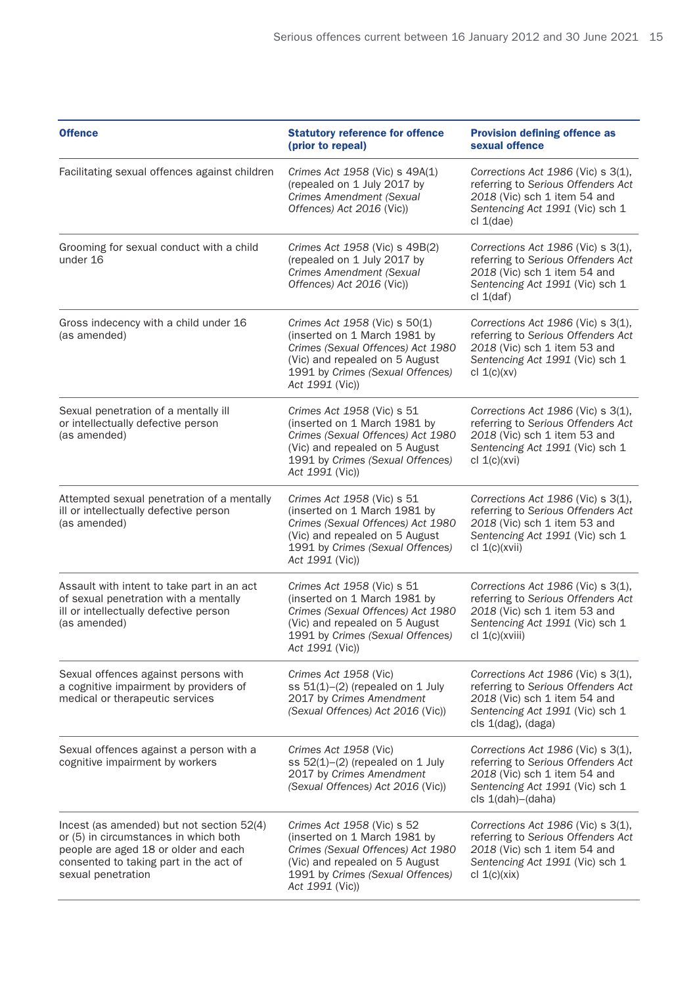| <b>Offence</b>                                                                                                                                                                             | <b>Statutory reference for offence</b><br>(prior to repeal)                                                                                                                                 | <b>Provision defining offence as</b><br>sexual offence                                                                                                            |
|--------------------------------------------------------------------------------------------------------------------------------------------------------------------------------------------|---------------------------------------------------------------------------------------------------------------------------------------------------------------------------------------------|-------------------------------------------------------------------------------------------------------------------------------------------------------------------|
| Facilitating sexual offences against children                                                                                                                                              | Crimes Act 1958 (Vic) s 49A(1)<br>(repealed on 1 July 2017 by<br>Crimes Amendment (Sexual<br>Offences) Act 2016 (Vic))                                                                      | Corrections Act 1986 (Vic) s 3(1),<br>referring to Serious Offenders Act<br>2018 (Vic) sch 1 item 54 and<br>Sentencing Act 1991 (Vic) sch 1<br>cl 1(dae)          |
| Grooming for sexual conduct with a child<br>under 16                                                                                                                                       | Crimes Act 1958 (Vic) s 49B(2)<br>(repealed on 1 July 2017 by<br>Crimes Amendment (Sexual<br>Offences) Act 2016 (Vic))                                                                      | Corrections Act 1986 (Vic) s 3(1),<br>referring to Serious Offenders Act<br>2018 (Vic) sch 1 item 54 and<br>Sentencing Act 1991 (Vic) sch 1<br>cl 1(daf)          |
| Gross indecency with a child under 16<br>(as amended)                                                                                                                                      | Crimes Act 1958 (Vic) s 50(1)<br>(inserted on 1 March 1981 by<br>Crimes (Sexual Offences) Act 1980<br>(Vic) and repealed on 5 August<br>1991 by Crimes (Sexual Offences)<br>Act 1991 (Vic)) | Corrections Act 1986 (Vic) s 3(1),<br>referring to Serious Offenders Act<br>2018 (Vic) sch 1 item 53 and<br>Sentencing Act 1991 (Vic) sch 1<br>cl $1(c)(xv)$      |
| Sexual penetration of a mentally ill<br>or intellectually defective person<br>(as amended)                                                                                                 | Crimes Act 1958 (Vic) s 51<br>(inserted on 1 March 1981 by<br>Crimes (Sexual Offences) Act 1980<br>(Vic) and repealed on 5 August<br>1991 by Crimes (Sexual Offences)<br>Act 1991 (Vic))    | Corrections Act 1986 (Vic) s 3(1),<br>referring to Serious Offenders Act<br>2018 (Vic) sch 1 item 53 and<br>Sentencing Act 1991 (Vic) sch 1<br>cl 1(c)(xvi)       |
| Attempted sexual penetration of a mentally<br>ill or intellectually defective person<br>(as amended)                                                                                       | Crimes Act 1958 (Vic) s 51<br>(inserted on 1 March 1981 by<br>Crimes (Sexual Offences) Act 1980<br>(Vic) and repealed on 5 August<br>1991 by Crimes (Sexual Offences)<br>Act 1991 (Vic))    | Corrections Act 1986 (Vic) s 3(1),<br>referring to Serious Offenders Act<br>2018 (Vic) sch 1 item 53 and<br>Sentencing Act 1991 (Vic) sch 1<br>cl 1(c)(xvii)      |
| Assault with intent to take part in an act<br>of sexual penetration with a mentally<br>ill or intellectually defective person<br>(as amended)                                              | Crimes Act 1958 (Vic) s 51<br>(inserted on 1 March 1981 by<br>Crimes (Sexual Offences) Act 1980<br>(Vic) and repealed on 5 August<br>1991 by Crimes (Sexual Offences)<br>Act 1991 (Vic))    | Corrections Act 1986 (Vic) s 3(1),<br>referring to Serious Offenders Act<br>2018 (Vic) sch 1 item 53 and<br>Sentencing Act 1991 (Vic) sch 1<br>cl 1(c)(xviii)     |
| Sexual offences against persons with<br>a cognitive impairment by providers of<br>medical or therapeutic services                                                                          | Crimes Act 1958 (Vic)<br>ss $51(1)$ – $(2)$ (repealed on 1 July<br>2017 by Crimes Amendment<br>(Sexual Offences) Act 2016 (Vic))                                                            | Corrections Act 1986 (Vic) s 3(1),<br>referring to Serious Offenders Act<br>2018 (Vic) sch 1 item 54 and<br>Sentencing Act 1991 (Vic) sch 1<br>cls 1(dag), (daga) |
| Sexual offences against a person with a<br>cognitive impairment by workers                                                                                                                 | Crimes Act 1958 (Vic)<br>ss $52(1)$ - $(2)$ (repealed on 1 July<br>2017 by Crimes Amendment<br>(Sexual Offences) Act 2016 (Vic))                                                            | Corrections Act 1986 (Vic) s 3(1),<br>referring to Serious Offenders Act<br>2018 (Vic) sch 1 item 54 and<br>Sentencing Act 1991 (Vic) sch 1<br>cls 1(dah)-(daha)  |
| Incest (as amended) but not section 52(4)<br>or (5) in circumstances in which both<br>people are aged 18 or older and each<br>consented to taking part in the act of<br>sexual penetration | Crimes Act 1958 (Vic) s 52<br>(inserted on 1 March 1981 by<br>Crimes (Sexual Offences) Act 1980<br>(Vic) and repealed on 5 August<br>1991 by Crimes (Sexual Offences)<br>Act 1991 (Vic))    | Corrections Act 1986 (Vic) s 3(1),<br>referring to Serious Offenders Act<br>2018 (Vic) sch 1 item 54 and<br>Sentencing Act 1991 (Vic) sch 1<br>cl 1(c)(xix)       |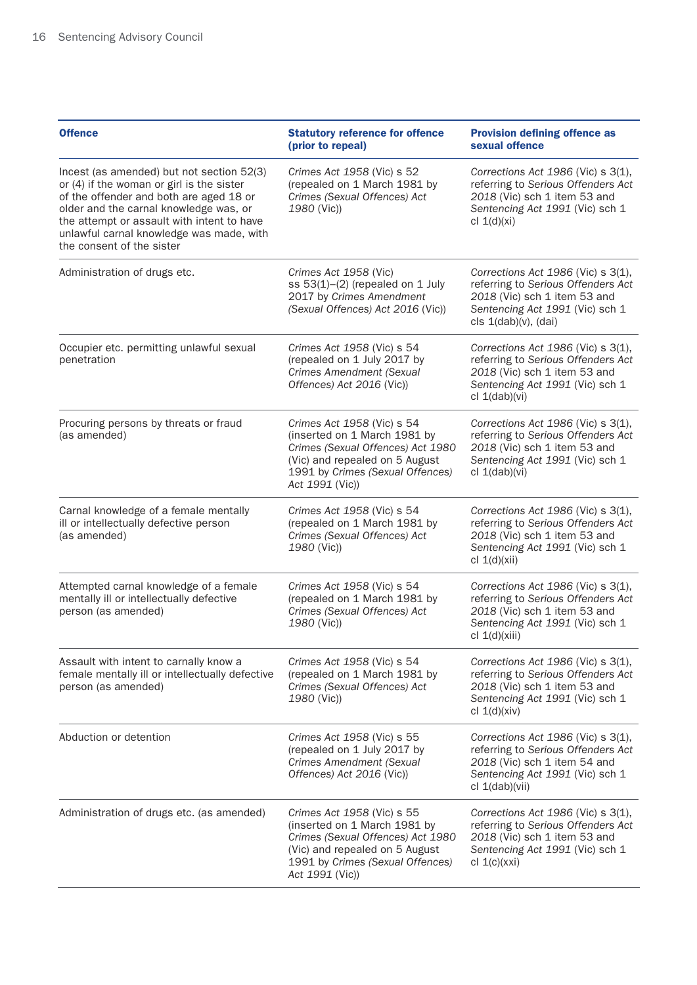| <b>Offence</b>                                                                                                                                                                                                                                                                                     | <b>Statutory reference for offence</b><br>(prior to repeal)                                                                                                                              | <b>Provision defining offence as</b><br>sexual offence                                                                                                              |
|----------------------------------------------------------------------------------------------------------------------------------------------------------------------------------------------------------------------------------------------------------------------------------------------------|------------------------------------------------------------------------------------------------------------------------------------------------------------------------------------------|---------------------------------------------------------------------------------------------------------------------------------------------------------------------|
| Incest (as amended) but not section 52(3)<br>or (4) if the woman or girl is the sister<br>of the offender and both are aged 18 or<br>older and the carnal knowledge was, or<br>the attempt or assault with intent to have<br>unlawful carnal knowledge was made, with<br>the consent of the sister | Crimes Act 1958 (Vic) s 52<br>(repealed on 1 March 1981 by<br>Crimes (Sexual Offences) Act<br>1980 (Vic))                                                                                | Corrections Act 1986 (Vic) s 3(1),<br>referring to Serious Offenders Act<br>2018 (Vic) sch 1 item 53 and<br>Sentencing Act 1991 (Vic) sch 1<br>cl $1(d)(xi)$        |
| Administration of drugs etc.                                                                                                                                                                                                                                                                       | Crimes Act 1958 (Vic)<br>ss $53(1)$ - $(2)$ (repealed on 1 July<br>2017 by Crimes Amendment<br>(Sexual Offences) Act 2016 (Vic))                                                         | Corrections Act 1986 (Vic) s 3(1),<br>referring to Serious Offenders Act<br>2018 (Vic) sch 1 item 53 and<br>Sentencing Act 1991 (Vic) sch 1<br>cls 1(dab)(v), (dai) |
| Occupier etc. permitting unlawful sexual<br>penetration                                                                                                                                                                                                                                            | Crimes Act 1958 (Vic) s 54<br>(repealed on 1 July 2017 by<br>Crimes Amendment (Sexual<br>Offences) Act 2016 (Vic))                                                                       | Corrections Act 1986 (Vic) s 3(1),<br>referring to Serious Offenders Act<br>2018 (Vic) sch 1 item 53 and<br>Sentencing Act 1991 (Vic) sch 1<br>cl 1(dab)(vi)        |
| Procuring persons by threats or fraud<br>(as amended)                                                                                                                                                                                                                                              | Crimes Act 1958 (Vic) s 54<br>(inserted on 1 March 1981 by<br>Crimes (Sexual Offences) Act 1980<br>(Vic) and repealed on 5 August<br>1991 by Crimes (Sexual Offences)<br>Act 1991 (Vic)) | Corrections Act 1986 (Vic) s 3(1),<br>referring to Serious Offenders Act<br>2018 (Vic) sch 1 item 53 and<br>Sentencing Act 1991 (Vic) sch 1<br>cl $1(dab)(vi)$      |
| Carnal knowledge of a female mentally<br>ill or intellectually defective person<br>(as amended)                                                                                                                                                                                                    | Crimes Act 1958 (Vic) s 54<br>(repealed on 1 March 1981 by<br>Crimes (Sexual Offences) Act<br>1980 (Vic))                                                                                | Corrections Act 1986 (Vic) s 3(1),<br>referring to Serious Offenders Act<br>2018 (Vic) sch 1 item 53 and<br>Sentencing Act 1991 (Vic) sch 1<br>cl $1(d)(xii)$       |
| Attempted carnal knowledge of a female<br>mentally ill or intellectually defective<br>person (as amended)                                                                                                                                                                                          | Crimes Act 1958 (Vic) s 54<br>(repealed on 1 March 1981 by<br>Crimes (Sexual Offences) Act<br>1980 (Vic))                                                                                | Corrections Act 1986 (Vic) s 3(1),<br>referring to Serious Offenders Act<br>2018 (Vic) sch 1 item 53 and<br>Sentencing Act 1991 (Vic) sch 1<br>cl 1(d)(xiii)        |
| Assault with intent to carnally know a<br>female mentally ill or intellectually defective<br>person (as amended)                                                                                                                                                                                   | Crimes Act 1958 (Vic) s 54<br>(repealed on 1 March 1981 by<br>Crimes (Sexual Offences) Act<br>1980 (Vic))                                                                                | Corrections Act 1986 (Vic) s 3(1),<br>referring to Serious Offenders Act<br>2018 (Vic) sch 1 item 53 and<br>Sentencing Act 1991 (Vic) sch 1<br>cl $1(d)(xiv)$       |
| Abduction or detention                                                                                                                                                                                                                                                                             | Crimes Act 1958 (Vic) s 55<br>(repealed on 1 July 2017 by<br>Crimes Amendment (Sexual<br>Offences) Act 2016 (Vic))                                                                       | Corrections Act 1986 (Vic) s 3(1),<br>referring to Serious Offenders Act<br>2018 (Vic) sch 1 item 54 and<br>Sentencing Act 1991 (Vic) sch 1<br>cl 1(dab)(vii)       |
| Administration of drugs etc. (as amended)                                                                                                                                                                                                                                                          | Crimes Act 1958 (Vic) s 55<br>(inserted on 1 March 1981 by<br>Crimes (Sexual Offences) Act 1980<br>(Vic) and repealed on 5 August<br>1991 by Crimes (Sexual Offences)<br>Act 1991 (Vic)) | Corrections Act 1986 (Vic) s 3(1),<br>referring to Serious Offenders Act<br>2018 (Vic) sch 1 item 53 and<br>Sentencing Act 1991 (Vic) sch 1<br>cl $1(c)(xxi)$       |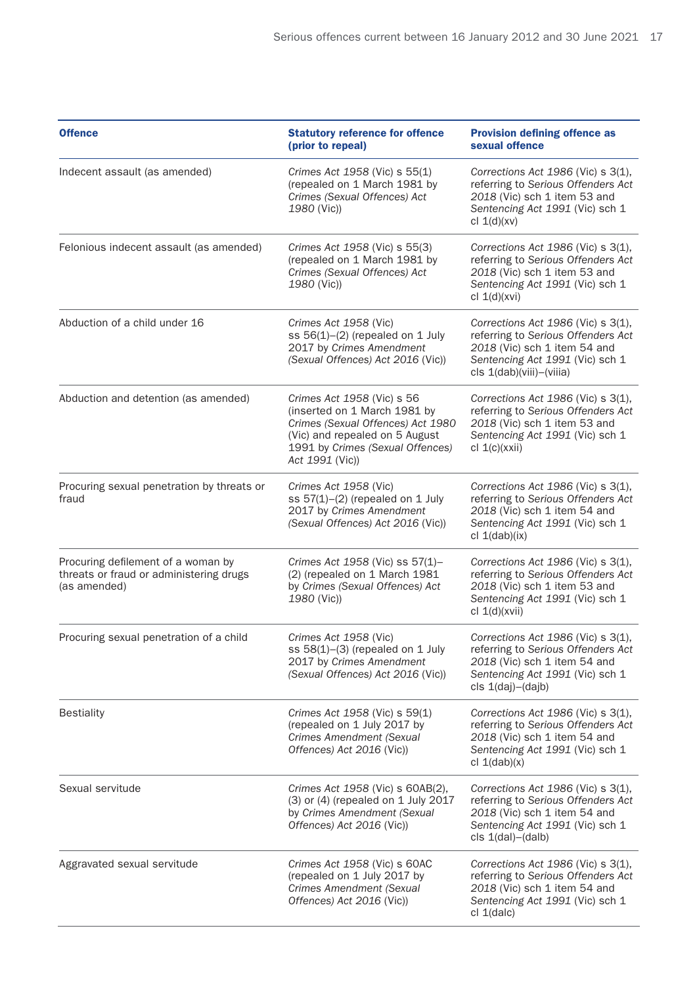| <b>Offence</b>                                                                                | <b>Statutory reference for offence</b><br>(prior to repeal)                                                                                                                              | <b>Provision defining offence as</b><br>sexual offence                                                                                                                       |
|-----------------------------------------------------------------------------------------------|------------------------------------------------------------------------------------------------------------------------------------------------------------------------------------------|------------------------------------------------------------------------------------------------------------------------------------------------------------------------------|
| Indecent assault (as amended)                                                                 | Crimes Act 1958 (Vic) s 55(1)<br>(repealed on 1 March 1981 by<br>Crimes (Sexual Offences) Act<br>1980 (Vic))                                                                             | Corrections Act 1986 (Vic) s 3(1),<br>referring to Serious Offenders Act<br>2018 (Vic) sch 1 item 53 and<br>Sentencing Act 1991 (Vic) sch 1<br>cl $1(d)(xv)$                 |
| Felonious indecent assault (as amended)                                                       | Crimes Act 1958 (Vic) s 55(3)<br>(repealed on 1 March 1981 by<br>Crimes (Sexual Offences) Act<br>1980 (Vic))                                                                             | Corrections Act 1986 (Vic) s 3(1),<br>referring to Serious Offenders Act<br>2018 (Vic) sch 1 item 53 and<br>Sentencing Act 1991 (Vic) sch 1<br>cl $1(d)(xvi)$                |
| Abduction of a child under 16                                                                 | Crimes Act 1958 (Vic)<br>ss $56(1)$ - $(2)$ (repealed on 1 July<br>2017 by Crimes Amendment<br>(Sexual Offences) Act 2016 (Vic))                                                         | Corrections Act $1986$ (Vic) s $3(1)$ ,<br>referring to Serious Offenders Act<br>2018 (Vic) sch 1 item 54 and<br>Sentencing Act 1991 (Vic) sch 1<br>cls 1(dab)(viii)-(viiia) |
| Abduction and detention (as amended)                                                          | Crimes Act 1958 (Vic) s 56<br>(inserted on 1 March 1981 by<br>Crimes (Sexual Offences) Act 1980<br>(Vic) and repealed on 5 August<br>1991 by Crimes (Sexual Offences)<br>Act 1991 (Vic)) | Corrections Act 1986 (Vic) s 3(1),<br>referring to Serious Offenders Act<br>2018 (Vic) sch 1 item 53 and<br>Sentencing Act 1991 (Vic) sch 1<br>cl 1(c)(xxii)                 |
| Procuring sexual penetration by threats or<br>fraud                                           | Crimes Act 1958 (Vic)<br>ss $57(1)$ - $(2)$ (repealed on 1 July<br>2017 by Crimes Amendment<br>(Sexual Offences) Act 2016 (Vic))                                                         | Corrections Act $1986$ (Vic) s $3(1)$ ,<br>referring to Serious Offenders Act<br>2018 (Vic) sch 1 item 54 and<br>Sentencing Act 1991 (Vic) sch 1<br>cl 1(dab)(ix)            |
| Procuring defilement of a woman by<br>threats or fraud or administering drugs<br>(as amended) | Crimes Act 1958 (Vic) ss 57(1)-<br>(2) (repealed on 1 March 1981<br>by Crimes (Sexual Offences) Act<br>1980 (Vic))                                                                       | Corrections Act 1986 (Vic) s 3(1),<br>referring to Serious Offenders Act<br>2018 (Vic) sch 1 item 53 and<br>Sentencing Act 1991 (Vic) sch 1<br>cl 1(d)(xvii)                 |
| Procuring sexual penetration of a child                                                       | Crimes Act 1958 (Vic)<br>ss $58(1)$ – $(3)$ (repealed on 1 July<br>2017 by Crimes Amendment<br>(Sexual Offences) Act 2016 (Vic))                                                         | Corrections Act 1986 (Vic) s 3(1),<br>referring to Serious Offenders Act<br>2018 (Vic) sch 1 item 54 and<br>Sentencing Act 1991 (Vic) sch 1<br>cls 1(daj)-(dajb)             |
| <b>Bestiality</b>                                                                             | Crimes Act 1958 (Vic) s 59(1)<br>(repealed on 1 July 2017 by<br><b>Crimes Amendment (Sexual</b><br>Offences) Act 2016 (Vic))                                                             | Corrections Act 1986 (Vic) s 3(1),<br>referring to Serious Offenders Act<br>2018 (Vic) sch 1 item 54 and<br>Sentencing Act 1991 (Vic) sch 1<br>cl $1(dab)(x)$                |
| Sexual servitude                                                                              | Crimes Act 1958 (Vic) s 60AB(2),<br>(3) or (4) (repealed on 1 July 2017<br>by Crimes Amendment (Sexual<br>Offences) Act 2016 (Vic))                                                      | Corrections Act $1986$ (Vic) s $3(1)$ ,<br>referring to Serious Offenders Act<br>2018 (Vic) sch 1 item 54 and<br>Sentencing Act 1991 (Vic) sch 1<br>$cls 1(dal) - (dalb)$    |
| Aggravated sexual servitude                                                                   | Crimes Act 1958 (Vic) s 60AC<br>(repealed on 1 July 2017 by<br><b>Crimes Amendment (Sexual</b><br>Offences) Act 2016 (Vic))                                                              | Corrections Act 1986 (Vic) s 3(1),<br>referring to Serious Offenders Act<br>2018 (Vic) sch 1 item 54 and<br>Sentencing Act 1991 (Vic) sch 1<br>cl 1(dalc)                    |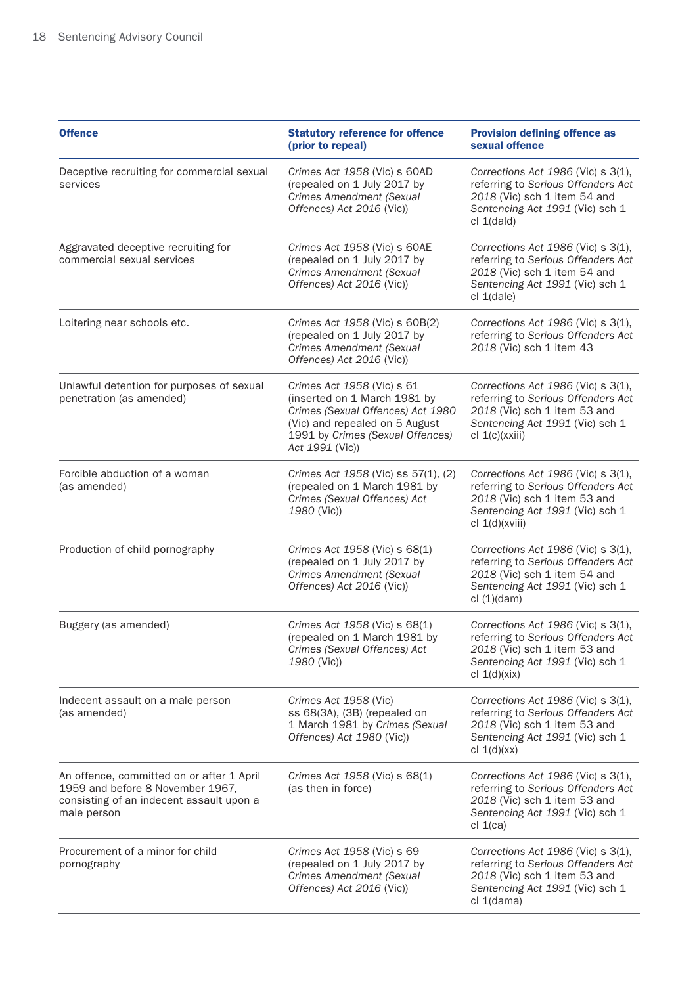| <b>Offence</b>                                                                                                                           | <b>Statutory reference for offence</b><br>(prior to repeal)                                                                                                                              | <b>Provision defining offence as</b><br>sexual offence                                                                                                             |
|------------------------------------------------------------------------------------------------------------------------------------------|------------------------------------------------------------------------------------------------------------------------------------------------------------------------------------------|--------------------------------------------------------------------------------------------------------------------------------------------------------------------|
| Deceptive recruiting for commercial sexual<br>services                                                                                   | Crimes Act 1958 (Vic) s 60AD<br>(repealed on 1 July 2017 by<br>Crimes Amendment (Sexual<br>Offences) Act 2016 (Vic))                                                                     | Corrections Act 1986 (Vic) s 3(1),<br>referring to Serious Offenders Act<br>2018 (Vic) sch 1 item 54 and<br>Sentencing Act 1991 (Vic) sch 1<br>cl 1(dald)          |
| Aggravated deceptive recruiting for<br>commercial sexual services                                                                        | Crimes Act 1958 (Vic) s 60AE<br>(repealed on 1 July 2017 by<br>Crimes Amendment (Sexual<br>Offences) Act 2016 (Vic))                                                                     | Corrections Act $1986$ (Vic) s $3(1)$ ,<br>referring to Serious Offenders Act<br>2018 (Vic) sch 1 item 54 and<br>Sentencing Act 1991 (Vic) sch 1<br>cl 1(dale)     |
| Loitering near schools etc.                                                                                                              | Crimes Act 1958 (Vic) s 60B(2)<br>(repealed on 1 July 2017 by<br>Crimes Amendment (Sexual<br>Offences) Act 2016 (Vic))                                                                   | Corrections Act 1986 (Vic) s 3(1),<br>referring to Serious Offenders Act<br>2018 (Vic) sch 1 item 43                                                               |
| Unlawful detention for purposes of sexual<br>penetration (as amended)                                                                    | Crimes Act 1958 (Vic) s 61<br>(inserted on 1 March 1981 by<br>Crimes (Sexual Offences) Act 1980<br>(Vic) and repealed on 5 August<br>1991 by Crimes (Sexual Offences)<br>Act 1991 (Vic)) | Corrections Act $1986$ (Vic) s $3(1)$ ,<br>referring to Serious Offenders Act<br>2018 (Vic) sch 1 item 53 and<br>Sentencing Act 1991 (Vic) sch 1<br>cl 1(c)(xxiii) |
| Forcible abduction of a woman<br>(as amended)                                                                                            | Crimes Act 1958 (Vic) ss 57(1), (2)<br>(repealed on 1 March 1981 by<br>Crimes (Sexual Offences) Act<br>1980 (Vic))                                                                       | Corrections Act 1986 (Vic) s 3(1),<br>referring to Serious Offenders Act<br>2018 (Vic) sch 1 item 53 and<br>Sentencing Act 1991 (Vic) sch 1<br>cl $1(d)(xviii)$    |
| Production of child pornography                                                                                                          | Crimes Act 1958 (Vic) s 68(1)<br>(repealed on 1 July 2017 by<br><b>Crimes Amendment (Sexual</b><br>Offences) Act 2016 (Vic))                                                             | Corrections Act 1986 (Vic) s 3(1),<br>referring to Serious Offenders Act<br>2018 (Vic) sch 1 item 54 and<br>Sentencing Act 1991 (Vic) sch 1<br>cl(1)(dam)          |
| Buggery (as amended)                                                                                                                     | Crimes Act 1958 (Vic) s 68(1)<br>(repealed on 1 March 1981 by<br>Crimes (Sexual Offences) Act<br>1980 (Vic))                                                                             | Corrections Act 1986 (Vic) s 3(1),<br>referring to Serious Offenders Act<br>2018 (Vic) sch 1 item 53 and<br>Sentencing Act 1991 (Vic) sch 1<br>cl $1(d)(xix)$      |
| Indecent assault on a male person<br>(as amended)                                                                                        | Crimes Act 1958 (Vic)<br>ss 68(3A), (3B) (repealed on<br>1 March 1981 by Crimes (Sexual<br>Offences) Act 1980 (Vic))                                                                     | Corrections Act 1986 (Vic) s 3(1),<br>referring to Serious Offenders Act<br>2018 (Vic) sch 1 item 53 and<br>Sentencing Act 1991 (Vic) sch 1<br>cl $1(d)(xx)$       |
| An offence, committed on or after 1 April<br>1959 and before 8 November 1967,<br>consisting of an indecent assault upon a<br>male person | Crimes Act 1958 (Vic) s 68(1)<br>(as then in force)                                                                                                                                      | Corrections Act $1986$ (Vic) s $3(1)$ ,<br>referring to Serious Offenders Act<br>2018 (Vic) sch 1 item 53 and<br>Sentencing Act 1991 (Vic) sch 1<br>cl $1$ (ca)    |
| Procurement of a minor for child<br>pornography                                                                                          | Crimes Act 1958 (Vic) s 69<br>(repealed on 1 July 2017 by<br><b>Crimes Amendment (Sexual</b><br>Offences) Act 2016 (Vic))                                                                | Corrections Act $1986$ (Vic) s $3(1)$ ,<br>referring to Serious Offenders Act<br>2018 (Vic) sch 1 item 53 and<br>Sentencing Act 1991 (Vic) sch 1<br>cl 1(dama)     |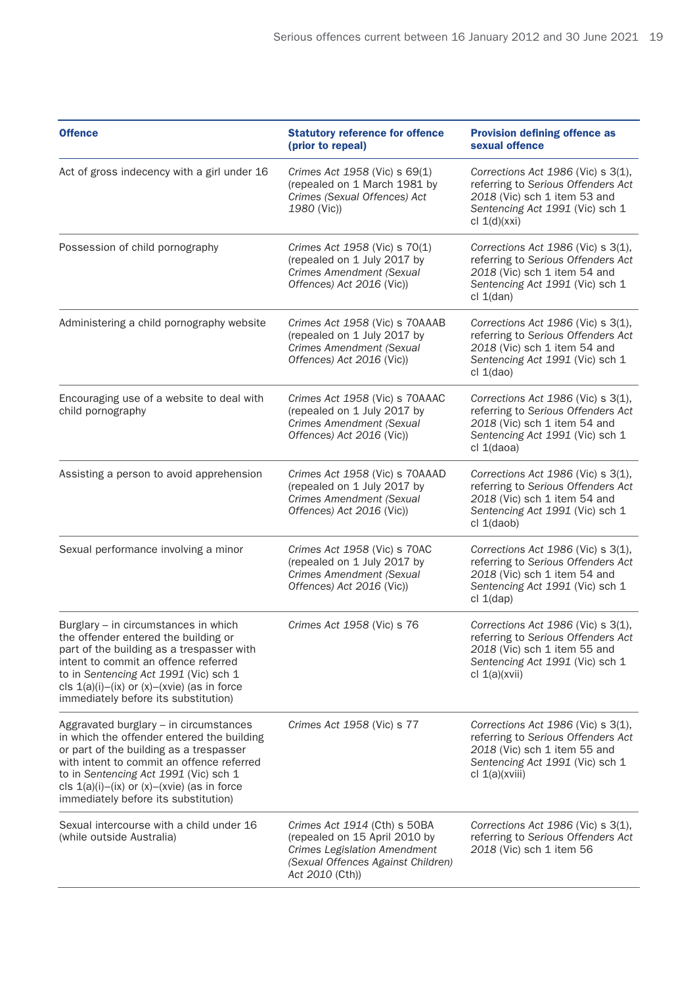| <b>Offence</b>                                                                                                                                                                                                                                                                                                | <b>Statutory reference for offence</b><br>(prior to repeal)                                                                                                   | <b>Provision defining offence as</b><br>sexual offence                                                                                                             |
|---------------------------------------------------------------------------------------------------------------------------------------------------------------------------------------------------------------------------------------------------------------------------------------------------------------|---------------------------------------------------------------------------------------------------------------------------------------------------------------|--------------------------------------------------------------------------------------------------------------------------------------------------------------------|
| Act of gross indecency with a girl under 16                                                                                                                                                                                                                                                                   | Crimes Act 1958 (Vic) s 69(1)<br>(repealed on 1 March 1981 by<br>Crimes (Sexual Offences) Act<br>1980 (Vic))                                                  | Corrections Act $1986$ (Vic) s $3(1)$ ,<br>referring to Serious Offenders Act<br>2018 (Vic) sch 1 item 53 and<br>Sentencing Act 1991 (Vic) sch 1<br>cl $1(d)(xxi)$ |
| Possession of child pornography                                                                                                                                                                                                                                                                               | Crimes Act 1958 (Vic) s 70(1)<br>(repealed on 1 July 2017 by<br>Crimes Amendment (Sexual<br>Offences) Act 2016 (Vic))                                         | Corrections Act 1986 (Vic) s 3(1),<br>referring to Serious Offenders Act<br>2018 (Vic) sch 1 item 54 and<br>Sentencing Act 1991 (Vic) sch 1<br>cl 1(dan)           |
| Administering a child pornography website                                                                                                                                                                                                                                                                     | Crimes Act 1958 (Vic) s 70AAAB<br>(repealed on 1 July 2017 by<br><b>Crimes Amendment (Sexual</b><br>Offences) Act 2016 (Vic))                                 | Corrections Act $1986$ (Vic) s $3(1)$ ,<br>referring to Serious Offenders Act<br>2018 (Vic) sch 1 item 54 and<br>Sentencing Act 1991 (Vic) sch 1<br>cl 1(dao)      |
| Encouraging use of a website to deal with<br>child pornography                                                                                                                                                                                                                                                | Crimes Act 1958 (Vic) s 70AAAC<br>(repealed on 1 July 2017 by<br><b>Crimes Amendment (Sexual</b><br>Offences) Act 2016 (Vic))                                 | Corrections Act 1986 (Vic) s 3(1),<br>referring to Serious Offenders Act<br>2018 (Vic) sch 1 item 54 and<br>Sentencing Act 1991 (Vic) sch 1<br>cl 1(daoa)          |
| Assisting a person to avoid apprehension                                                                                                                                                                                                                                                                      | Crimes Act 1958 (Vic) s 70AAAD<br>(repealed on 1 July 2017 by<br>Crimes Amendment (Sexual<br>Offences) Act 2016 (Vic))                                        | Corrections Act $1986$ (Vic) s $3(1)$ ,<br>referring to Serious Offenders Act<br>2018 (Vic) sch 1 item 54 and<br>Sentencing Act 1991 (Vic) sch 1<br>cl 1(daob)     |
| Sexual performance involving a minor                                                                                                                                                                                                                                                                          | Crimes Act 1958 (Vic) s 70AC<br>(repealed on 1 July 2017 by<br>Crimes Amendment (Sexual<br>Offences) Act 2016 (Vic))                                          | Corrections Act $1986$ (Vic) s $3(1)$ ,<br>referring to Serious Offenders Act<br>2018 (Vic) sch 1 item 54 and<br>Sentencing Act 1991 (Vic) sch 1<br>cl 1(dap)      |
| Burglary - in circumstances in which<br>the offender entered the building or<br>part of the building as a trespasser with<br>intent to commit an offence referred<br>to in Sentencing Act 1991 (Vic) sch 1<br>cls $1(a)(i)-(ix)$ or $(x)-(x)$ (as in force<br>immediately before its substitution)            | Crimes Act 1958 (Vic) s 76                                                                                                                                    | Corrections Act 1986 (Vic) s 3(1),<br>referring to Serious Offenders Act<br>2018 (Vic) sch 1 item 55 and<br>Sentencing Act 1991 (Vic) sch 1<br>cl $1(a)(xvii)$     |
| Aggravated burglary - in circumstances<br>in which the offender entered the building<br>or part of the building as a trespasser<br>with intent to commit an offence referred<br>to in Sentencing Act 1991 (Vic) sch 1<br>cls $1(a)(i)-(ix)$ or $(x)-(x)$ (as in force<br>immediately before its substitution) | Crimes Act 1958 (Vic) s 77                                                                                                                                    | Corrections Act $1986$ (Vic) s $3(1)$ ,<br>referring to Serious Offenders Act<br>2018 (Vic) sch 1 item 55 and<br>Sentencing Act 1991 (Vic) sch 1<br>cl 1(a)(xviii) |
| Sexual intercourse with a child under 16<br>(while outside Australia)                                                                                                                                                                                                                                         | Crimes Act 1914 (Cth) s 50BA<br>(repealed on 15 April 2010 by<br><b>Crimes Legislation Amendment</b><br>(Sexual Offences Against Children)<br>Act 2010 (Cth)) | Corrections Act $1986$ (Vic) s $3(1)$ ,<br>referring to Serious Offenders Act<br>2018 (Vic) sch 1 item 56                                                          |